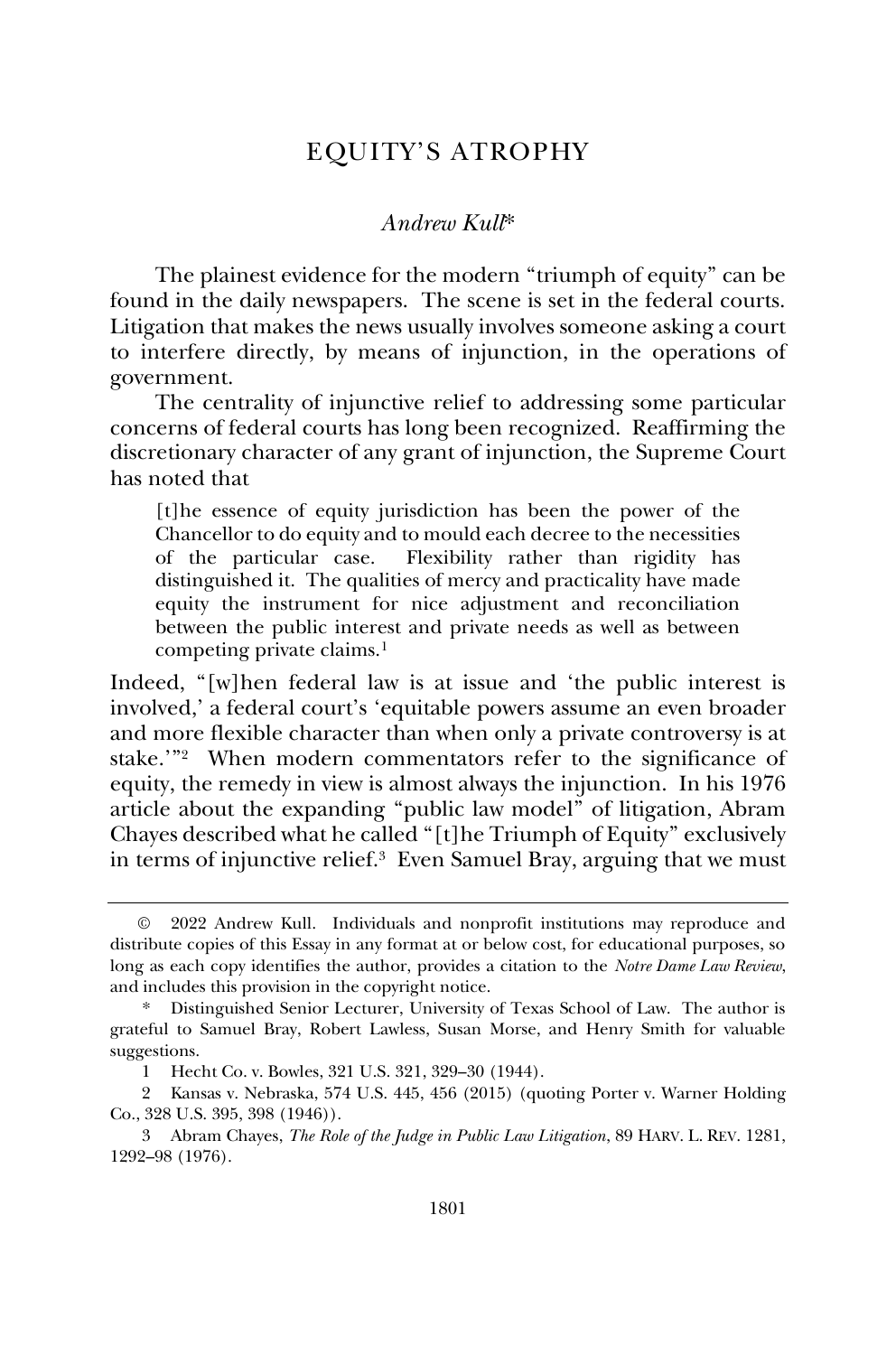# EQUITY'S ATROPHY

### *Andrew Kull*\*

The plainest evidence for the modern "triumph of equity" can be found in the daily newspapers. The scene is set in the federal courts. Litigation that makes the news usually involves someone asking a court to interfere directly, by means of injunction, in the operations of government.

The centrality of injunctive relief to addressing some particular concerns of federal courts has long been recognized. Reaffirming the discretionary character of any grant of injunction, the Supreme Court has noted that

[t]he essence of equity jurisdiction has been the power of the Chancellor to do equity and to mould each decree to the necessities of the particular case. Flexibility rather than rigidity has distinguished it. The qualities of mercy and practicality have made equity the instrument for nice adjustment and reconciliation between the public interest and private needs as well as between competing private claims.<sup>1</sup>

Indeed, "[w]hen federal law is at issue and 'the public interest is involved,' a federal court's 'equitable powers assume an even broader and more flexible character than when only a private controversy is at stake.'"<sup>2</sup> When modern commentators refer to the significance of equity, the remedy in view is almost always the injunction. In his 1976 article about the expanding "public law model" of litigation, Abram Chayes described what he called "[t]he Triumph of Equity" exclusively in terms of injunctive relief.<sup>3</sup> Even Samuel Bray, arguing that we must

<sup>©</sup> 2022 Andrew Kull. Individuals and nonprofit institutions may reproduce and distribute copies of this Essay in any format at or below cost, for educational purposes, so long as each copy identifies the author, provides a citation to the *Notre Dame Law Review*, and includes this provision in the copyright notice.

<sup>\*</sup> Distinguished Senior Lecturer, University of Texas School of Law. The author is grateful to Samuel Bray, Robert Lawless, Susan Morse, and Henry Smith for valuable suggestions.

<sup>1</sup> Hecht Co. v. Bowles, 321 U.S. 321, 329–30 (1944).

<sup>2</sup> Kansas v. Nebraska, 574 U.S. 445, 456 (2015) (quoting Porter v. Warner Holding Co., 328 U.S. 395, 398 (1946)).

<sup>3</sup> Abram Chayes, *The Role of the Judge in Public Law Litigation*, 89 HARV. L. REV. 1281, 1292–98 (1976).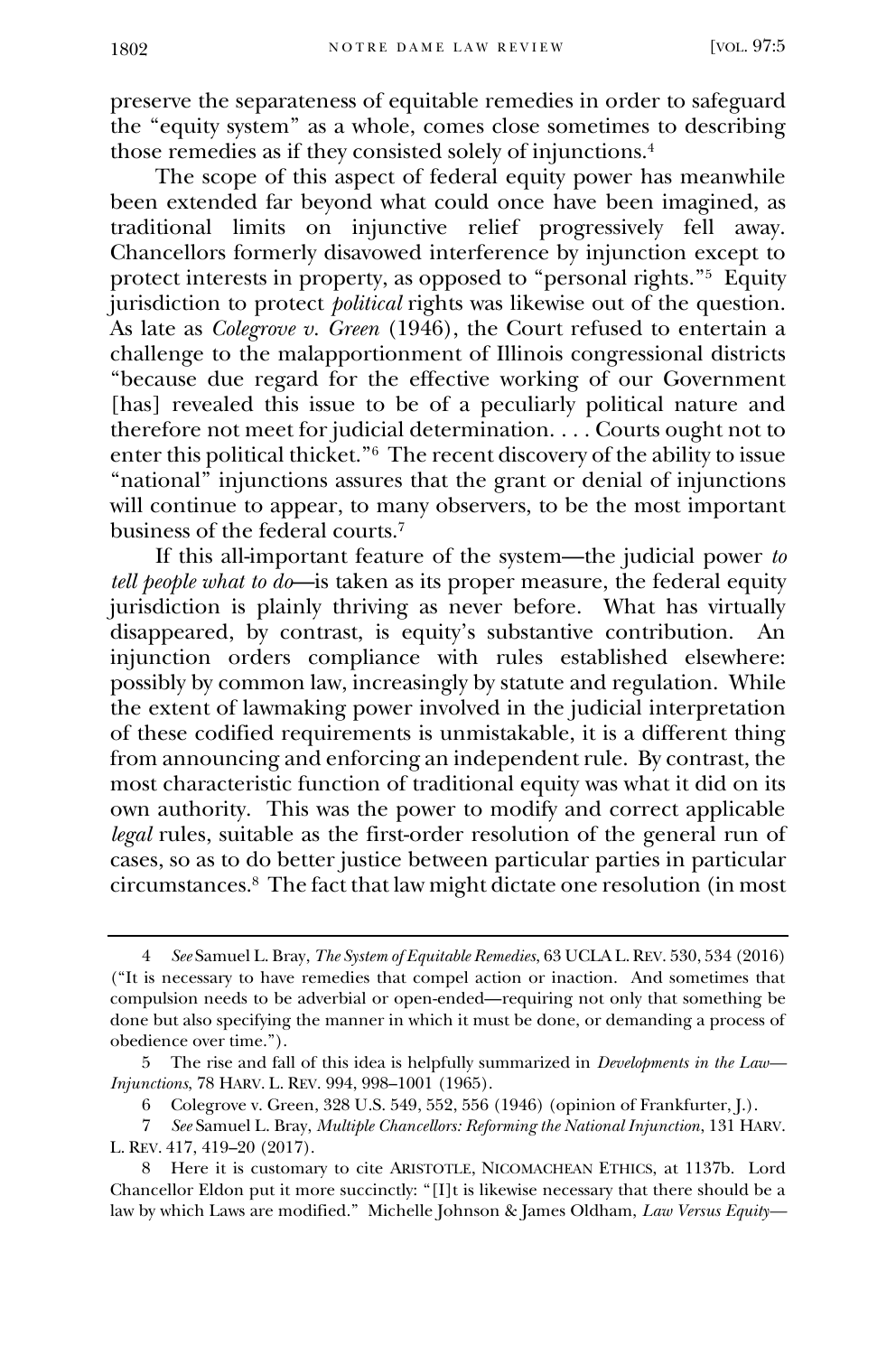preserve the separateness of equitable remedies in order to safeguard the "equity system" as a whole, comes close sometimes to describing those remedies as if they consisted solely of injunctions.<sup>4</sup>

The scope of this aspect of federal equity power has meanwhile been extended far beyond what could once have been imagined, as traditional limits on injunctive relief progressively fell away. Chancellors formerly disavowed interference by injunction except to protect interests in property, as opposed to "personal rights."<sup>5</sup> Equity jurisdiction to protect *political* rights was likewise out of the question. As late as *Colegrove v. Green* (1946), the Court refused to entertain a challenge to the malapportionment of Illinois congressional districts "because due regard for the effective working of our Government [has] revealed this issue to be of a peculiarly political nature and therefore not meet for judicial determination. . . . Courts ought not to enter this political thicket."<sup>6</sup> The recent discovery of the ability to issue "national" injunctions assures that the grant or denial of injunctions will continue to appear, to many observers, to be the most important business of the federal courts.<sup>7</sup>

If this all-important feature of the system—the judicial power *to tell people what to do*—is taken as its proper measure, the federal equity jurisdiction is plainly thriving as never before. What has virtually disappeared, by contrast, is equity's substantive contribution. An injunction orders compliance with rules established elsewhere: possibly by common law, increasingly by statute and regulation. While the extent of lawmaking power involved in the judicial interpretation of these codified requirements is unmistakable, it is a different thing from announcing and enforcing an independent rule. By contrast, the most characteristic function of traditional equity was what it did on its own authority. This was the power to modify and correct applicable *legal* rules, suitable as the first-order resolution of the general run of cases, so as to do better justice between particular parties in particular circumstances.<sup>8</sup> The fact that law might dictate one resolution (in most

<sup>4</sup> *See* Samuel L. Bray, *The System of Equitable Remedies*, 63 UCLA L.REV. 530, 534 (2016) ("It is necessary to have remedies that compel action or inaction. And sometimes that compulsion needs to be adverbial or open-ended—requiring not only that something be done but also specifying the manner in which it must be done, or demanding a process of obedience over time.").

<sup>5</sup> The rise and fall of this idea is helpfully summarized in *Developments in the Law— Injunctions*, 78 HARV. L. REV. 994, 998–1001 (1965).

<sup>6</sup> Colegrove v. Green, 328 U.S. 549, 552, 556 (1946) (opinion of Frankfurter, J.).

<sup>7</sup> *See* Samuel L. Bray, *Multiple Chancellors: Reforming the National Injunction*, 131 HARV. L. REV. 417, 419–20 (2017).

<sup>8</sup> Here it is customary to cite ARISTOTLE, NICOMACHEAN ETHICS, at 1137b. Lord Chancellor Eldon put it more succinctly: "[I]t is likewise necessary that there should be a law by which Laws are modified." Michelle Johnson & James Oldham, *Law Versus Equity—*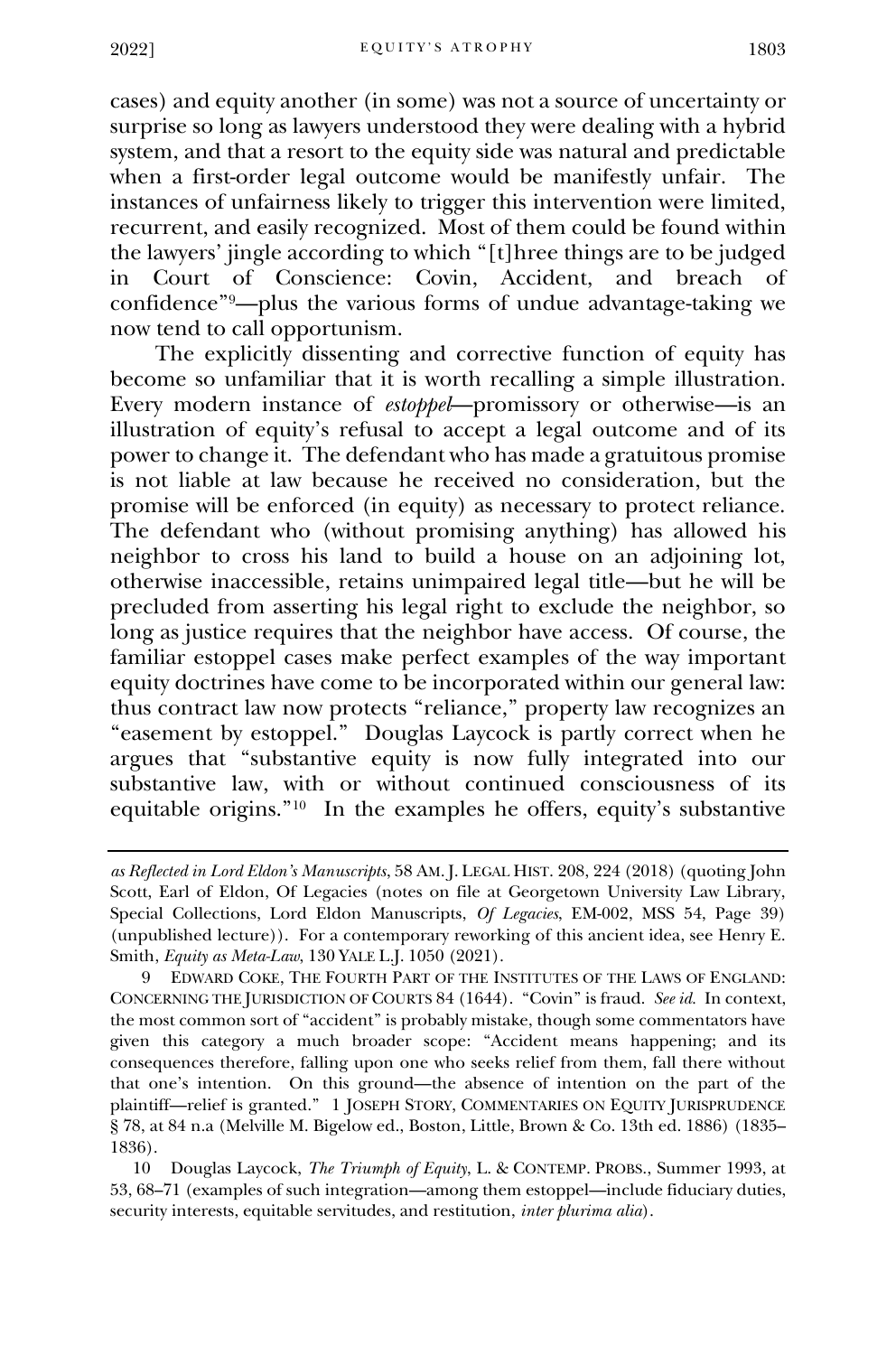cases) and equity another (in some) was not a source of uncertainty or surprise so long as lawyers understood they were dealing with a hybrid system, and that a resort to the equity side was natural and predictable when a first-order legal outcome would be manifestly unfair. The instances of unfairness likely to trigger this intervention were limited, recurrent, and easily recognized. Most of them could be found within the lawyers' jingle according to which "[t]hree things are to be judged in Court of Conscience: Covin, Accident, and breach of confidence"9—plus the various forms of undue advantage-taking we now tend to call opportunism.

The explicitly dissenting and corrective function of equity has become so unfamiliar that it is worth recalling a simple illustration. Every modern instance of *estoppel*—promissory or otherwise—is an illustration of equity's refusal to accept a legal outcome and of its power to change it. The defendant who has made a gratuitous promise is not liable at law because he received no consideration, but the promise will be enforced (in equity) as necessary to protect reliance. The defendant who (without promising anything) has allowed his neighbor to cross his land to build a house on an adjoining lot, otherwise inaccessible, retains unimpaired legal title—but he will be precluded from asserting his legal right to exclude the neighbor, so long as justice requires that the neighbor have access. Of course, the familiar estoppel cases make perfect examples of the way important equity doctrines have come to be incorporated within our general law: thus contract law now protects "reliance," property law recognizes an "easement by estoppel." Douglas Laycock is partly correct when he argues that "substantive equity is now fully integrated into our substantive law, with or without continued consciousness of its equitable origins."<sup>10</sup> In the examples he offers, equity's substantive

*as Reflected in Lord Eldon's Manuscripts*, 58 AM. J. LEGAL HIST. 208, 224 (2018) (quoting John Scott, Earl of Eldon, Of Legacies (notes on file at Georgetown University Law Library, Special Collections, Lord Eldon Manuscripts, *Of Legacies*, EM-002, MSS 54, Page 39) (unpublished lecture)). For a contemporary reworking of this ancient idea, see Henry E. Smith, *Equity as Meta-Law*, 130 YALE L.J. 1050 (2021).

<sup>9</sup> EDWARD COKE, THE FOURTH PART OF THE INSTITUTES OF THE LAWS OF ENGLAND: CONCERNING THE JURISDICTION OF COURTS 84 (1644). "Covin" is fraud. *See id.* In context, the most common sort of "accident" is probably mistake, though some commentators have given this category a much broader scope: "Accident means happening; and its consequences therefore, falling upon one who seeks relief from them, fall there without that one's intention. On this ground—the absence of intention on the part of the plaintiff—relief is granted." 1 JOSEPH STORY, COMMENTARIES ON EQUITY JURISPRUDENCE § 78, at 84 n.a (Melville M. Bigelow ed., Boston, Little, Brown & Co. 13th ed. 1886) (1835– 1836).

<sup>10</sup> Douglas Laycock, *The Triumph of Equity*, L. & CONTEMP. PROBS., Summer 1993, at 53, 68–71 (examples of such integration—among them estoppel—include fiduciary duties, security interests, equitable servitudes, and restitution, *inter plurima alia*).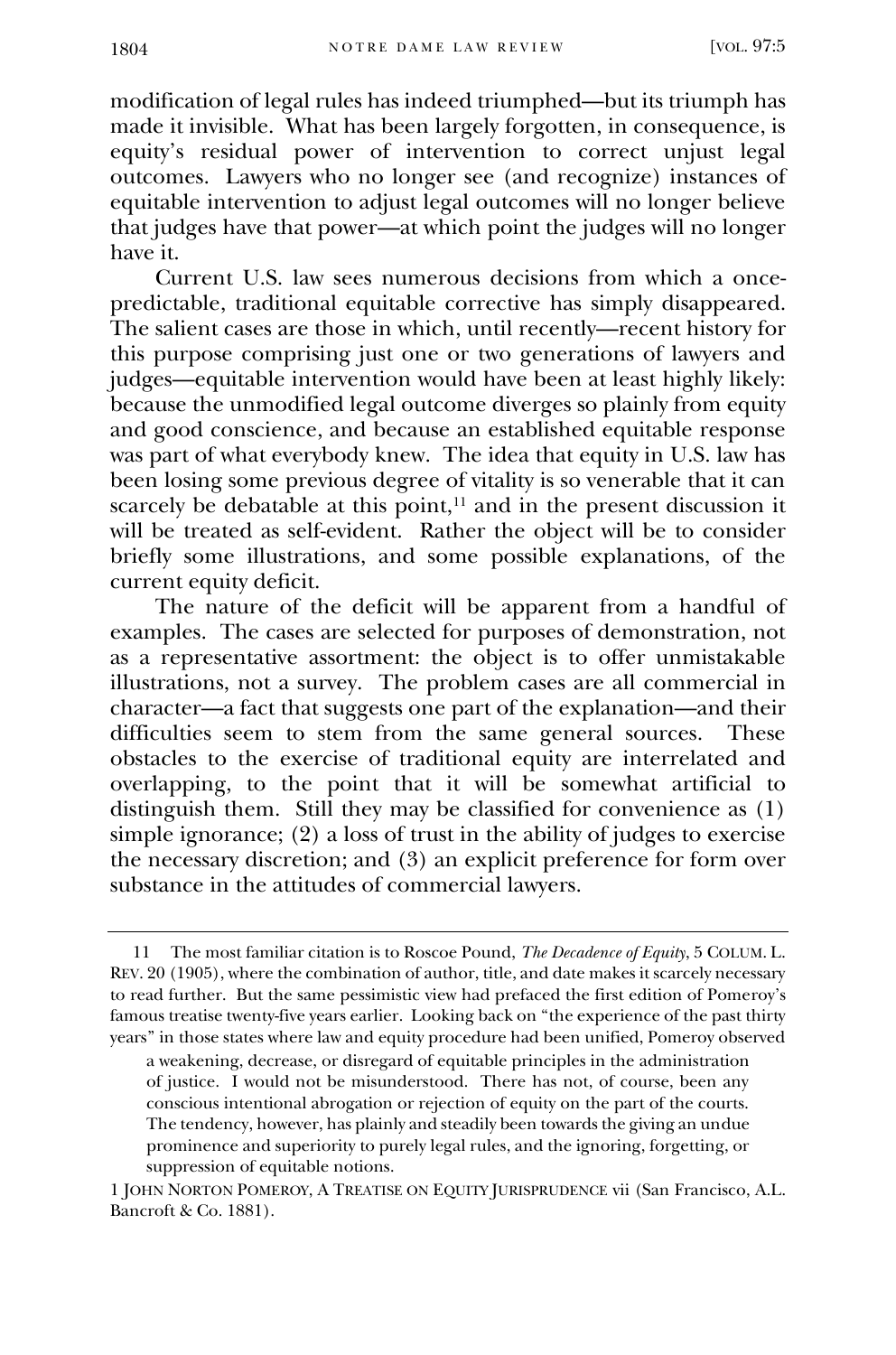modification of legal rules has indeed triumphed—but its triumph has made it invisible. What has been largely forgotten, in consequence, is equity's residual power of intervention to correct unjust legal outcomes. Lawyers who no longer see (and recognize) instances of equitable intervention to adjust legal outcomes will no longer believe that judges have that power—at which point the judges will no longer have it.

Current U.S. law sees numerous decisions from which a oncepredictable, traditional equitable corrective has simply disappeared. The salient cases are those in which, until recently—recent history for this purpose comprising just one or two generations of lawyers and judges—equitable intervention would have been at least highly likely: because the unmodified legal outcome diverges so plainly from equity and good conscience, and because an established equitable response was part of what everybody knew. The idea that equity in U.S. law has been losing some previous degree of vitality is so venerable that it can scarcely be debatable at this point,<sup>11</sup> and in the present discussion it will be treated as self-evident. Rather the object will be to consider briefly some illustrations, and some possible explanations, of the current equity deficit.

The nature of the deficit will be apparent from a handful of examples. The cases are selected for purposes of demonstration, not as a representative assortment: the object is to offer unmistakable illustrations, not a survey. The problem cases are all commercial in character—a fact that suggests one part of the explanation—and their difficulties seem to stem from the same general sources. These obstacles to the exercise of traditional equity are interrelated and overlapping, to the point that it will be somewhat artificial to distinguish them. Still they may be classified for convenience as (1) simple ignorance; (2) a loss of trust in the ability of judges to exercise the necessary discretion; and (3) an explicit preference for form over substance in the attitudes of commercial lawyers.

<sup>11</sup> The most familiar citation is to Roscoe Pound, *The Decadence of Equity*, 5 COLUM. L. REV. 20 (1905), where the combination of author, title, and date makes it scarcely necessary to read further. But the same pessimistic view had prefaced the first edition of Pomeroy's famous treatise twenty-five years earlier. Looking back on "the experience of the past thirty years" in those states where law and equity procedure had been unified, Pomeroy observed

a weakening, decrease, or disregard of equitable principles in the administration of justice. I would not be misunderstood. There has not, of course, been any conscious intentional abrogation or rejection of equity on the part of the courts. The tendency, however, has plainly and steadily been towards the giving an undue prominence and superiority to purely legal rules, and the ignoring, forgetting, or suppression of equitable notions.

<sup>1</sup> JOHN NORTON POMEROY, A TREATISE ON EQUITY JURISPRUDENCE vii (San Francisco, A.L. Bancroft & Co. 1881).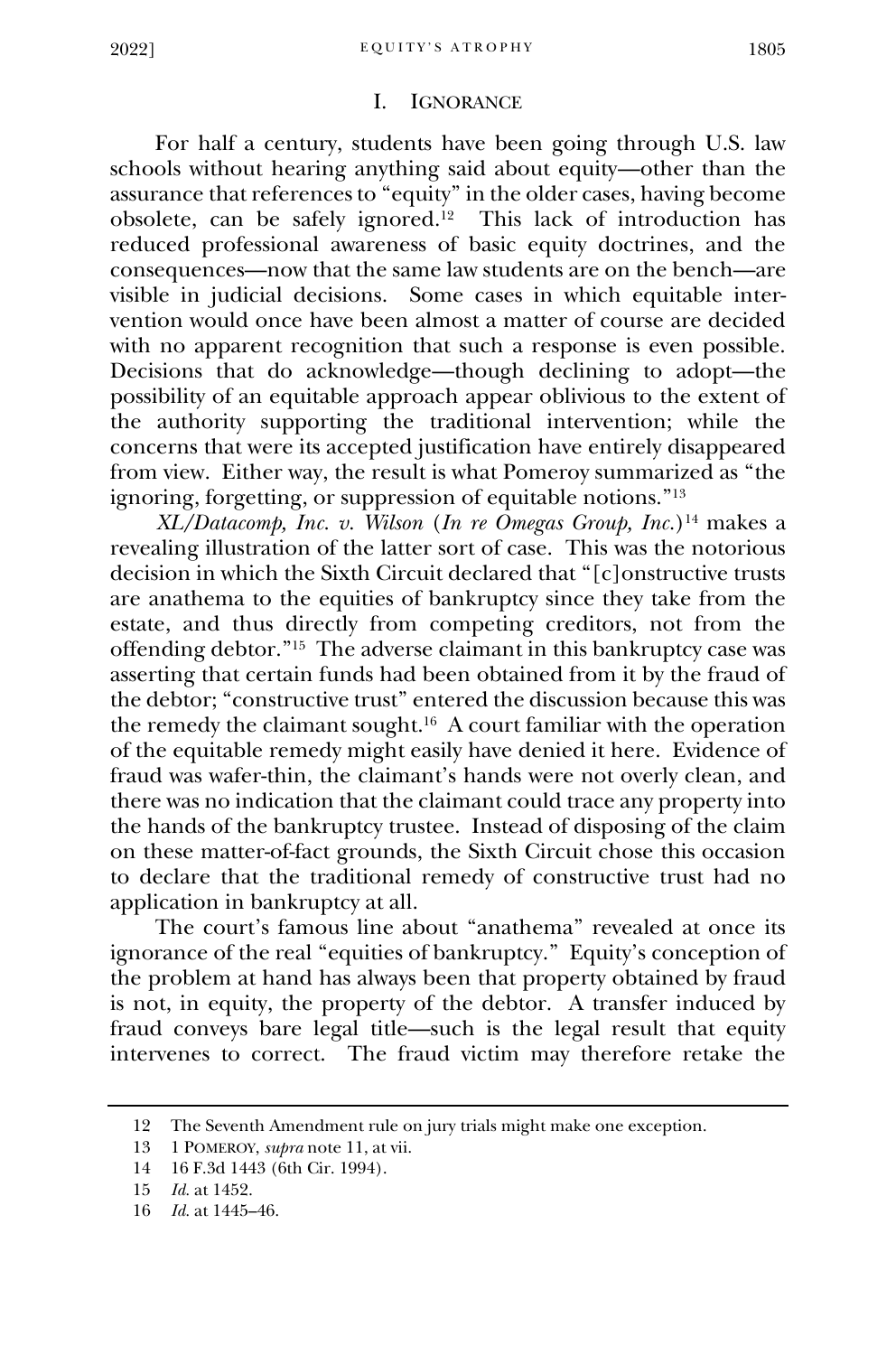## I. IGNORANCE

For half a century, students have been going through U.S. law schools without hearing anything said about equity—other than the assurance that references to "equity" in the older cases, having become obsolete, can be safely ignored.<sup>12</sup> This lack of introduction has reduced professional awareness of basic equity doctrines, and the consequences—now that the same law students are on the bench—are visible in judicial decisions. Some cases in which equitable intervention would once have been almost a matter of course are decided with no apparent recognition that such a response is even possible. Decisions that do acknowledge—though declining to adopt—the possibility of an equitable approach appear oblivious to the extent of the authority supporting the traditional intervention; while the concerns that were its accepted justification have entirely disappeared from view. Either way, the result is what Pomeroy summarized as "the ignoring, forgetting, or suppression of equitable notions."<sup>13</sup>

*XL/Datacomp, Inc. v. Wilson* (*In re Omegas Group, Inc.*) <sup>14</sup> makes a revealing illustration of the latter sort of case. This was the notorious decision in which the Sixth Circuit declared that "[c]onstructive trusts are anathema to the equities of bankruptcy since they take from the estate, and thus directly from competing creditors, not from the offending debtor."<sup>15</sup> The adverse claimant in this bankruptcy case was asserting that certain funds had been obtained from it by the fraud of the debtor; "constructive trust" entered the discussion because this was the remedy the claimant sought.<sup>16</sup> A court familiar with the operation of the equitable remedy might easily have denied it here. Evidence of fraud was wafer-thin, the claimant's hands were not overly clean, and there was no indication that the claimant could trace any property into the hands of the bankruptcy trustee. Instead of disposing of the claim on these matter-of-fact grounds, the Sixth Circuit chose this occasion to declare that the traditional remedy of constructive trust had no application in bankruptcy at all.

The court's famous line about "anathema" revealed at once its ignorance of the real "equities of bankruptcy." Equity's conception of the problem at hand has always been that property obtained by fraud is not, in equity, the property of the debtor. A transfer induced by fraud conveys bare legal title—such is the legal result that equity intervenes to correct. The fraud victim may therefore retake the

<sup>12</sup> The Seventh Amendment rule on jury trials might make one exception.

<sup>13</sup> 1 POMEROY, *supra* note 11, at vii.

<sup>14</sup> 16 F.3d 1443 (6th Cir. 1994).

<sup>15</sup> *Id.* at 1452.

<sup>16</sup> *Id.* at 1445–46.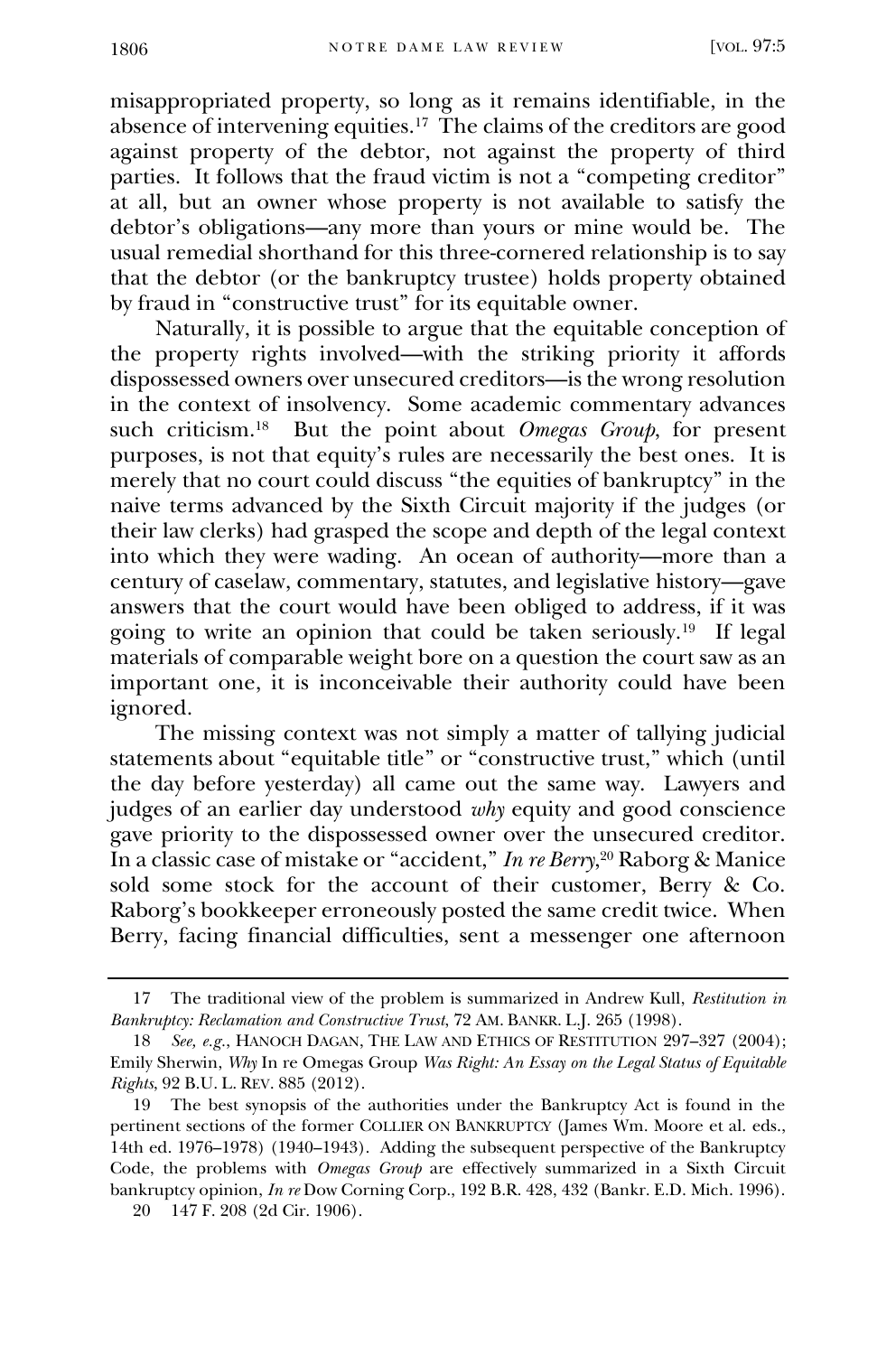misappropriated property, so long as it remains identifiable, in the absence of intervening equities.<sup>17</sup> The claims of the creditors are good against property of the debtor, not against the property of third parties. It follows that the fraud victim is not a "competing creditor" at all, but an owner whose property is not available to satisfy the debtor's obligations—any more than yours or mine would be. The usual remedial shorthand for this three-cornered relationship is to say that the debtor (or the bankruptcy trustee) holds property obtained by fraud in "constructive trust" for its equitable owner.

Naturally, it is possible to argue that the equitable conception of the property rights involved—with the striking priority it affords dispossessed owners over unsecured creditors—is the wrong resolution in the context of insolvency. Some academic commentary advances such criticism.<sup>18</sup> But the point about *Omegas Group*, for present purposes, is not that equity's rules are necessarily the best ones. It is merely that no court could discuss "the equities of bankruptcy" in the naive terms advanced by the Sixth Circuit majority if the judges (or their law clerks) had grasped the scope and depth of the legal context into which they were wading. An ocean of authority—more than a century of caselaw, commentary, statutes, and legislative history—gave answers that the court would have been obliged to address, if it was going to write an opinion that could be taken seriously.<sup>19</sup> If legal materials of comparable weight bore on a question the court saw as an important one, it is inconceivable their authority could have been ignored.

The missing context was not simply a matter of tallying judicial statements about "equitable title" or "constructive trust," which (until the day before yesterday) all came out the same way. Lawyers and judges of an earlier day understood *why* equity and good conscience gave priority to the dispossessed owner over the unsecured creditor. In a classic case of mistake or "accident," *In re Berry*, <sup>20</sup> Raborg & Manice sold some stock for the account of their customer, Berry & Co. Raborg's bookkeeper erroneously posted the same credit twice. When Berry, facing financial difficulties, sent a messenger one afternoon

<sup>17</sup> The traditional view of the problem is summarized in Andrew Kull, *Restitution in Bankruptcy: Reclamation and Constructive Trust*, 72 AM. BANKR. L.J. 265 (1998).

<sup>18</sup> *See, e.g.*, HANOCH DAGAN, THE LAW AND ETHICS OF RESTITUTION 297-327 (2004); Emily Sherwin, *Why* In re Omegas Group *Was Right: An Essay on the Legal Status of Equitable Rights*, 92 B.U. L. REV. 885 (2012).

<sup>19</sup> The best synopsis of the authorities under the Bankruptcy Act is found in the pertinent sections of the former COLLIER ON BANKRUPTCY (James Wm. Moore et al. eds., 14th ed. 1976–1978) (1940–1943). Adding the subsequent perspective of the Bankruptcy Code, the problems with *Omegas Group* are effectively summarized in a Sixth Circuit bankruptcy opinion, *In re* Dow Corning Corp., 192 B.R. 428, 432 (Bankr. E.D. Mich. 1996).

<sup>20</sup> 147 F. 208 (2d Cir. 1906).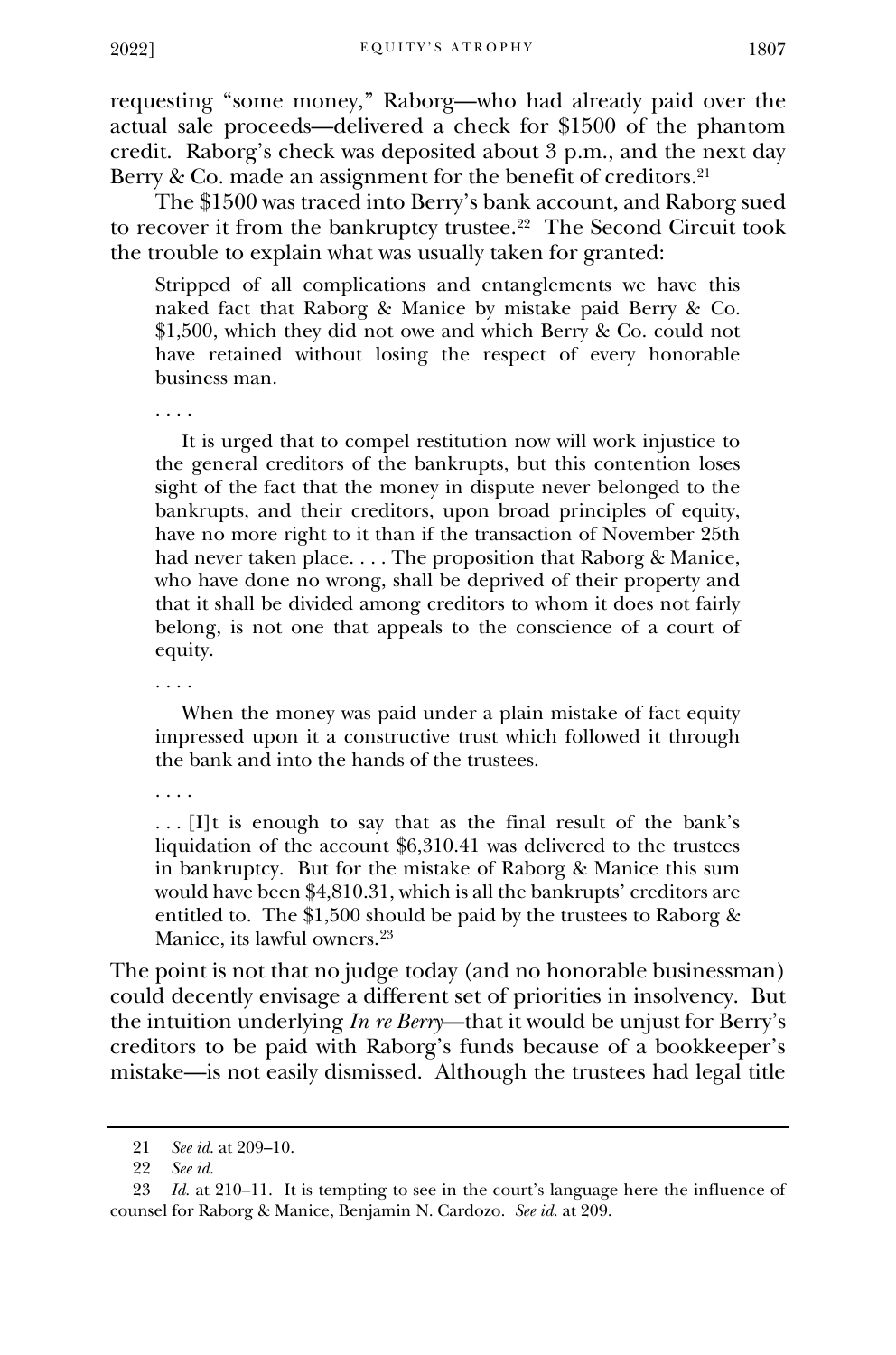requesting "some money," Raborg—who had already paid over the actual sale proceeds—delivered a check for \$1500 of the phantom credit. Raborg's check was deposited about 3 p.m., and the next day Berry & Co. made an assignment for the benefit of creditors.<sup>21</sup>

The \$1500 was traced into Berry's bank account, and Raborg sued to recover it from the bankruptcy trustee.<sup>22</sup> The Second Circuit took the trouble to explain what was usually taken for granted:

Stripped of all complications and entanglements we have this naked fact that Raborg & Manice by mistake paid Berry & Co. \$1,500, which they did not owe and which Berry & Co. could not have retained without losing the respect of every honorable business man.

. . . .

 It is urged that to compel restitution now will work injustice to the general creditors of the bankrupts, but this contention loses sight of the fact that the money in dispute never belonged to the bankrupts, and their creditors, upon broad principles of equity, have no more right to it than if the transaction of November 25th had never taken place. . . . The proposition that Raborg & Manice, who have done no wrong, shall be deprived of their property and that it shall be divided among creditors to whom it does not fairly belong, is not one that appeals to the conscience of a court of equity.

. . . .

 When the money was paid under a plain mistake of fact equity impressed upon it a constructive trust which followed it through the bank and into the hands of the trustees.

. . . .

. . . [I]t is enough to say that as the final result of the bank's liquidation of the account \$6,310.41 was delivered to the trustees in bankruptcy. But for the mistake of Raborg & Manice this sum would have been \$4,810.31, which is all the bankrupts' creditors are entitled to. The \$1,500 should be paid by the trustees to Raborg & Manice, its lawful owners.<sup>23</sup>

The point is not that no judge today (and no honorable businessman) could decently envisage a different set of priorities in insolvency. But the intuition underlying *In re Berry*—that it would be unjust for Berry's creditors to be paid with Raborg's funds because of a bookkeeper's mistake—is not easily dismissed. Although the trustees had legal title

<sup>21</sup> *See id.* at 209–10.

<sup>22</sup> *See id.*

<sup>23</sup> *Id.* at 210–11. It is tempting to see in the court's language here the influence of counsel for Raborg & Manice, Benjamin N. Cardozo. *See id.* at 209.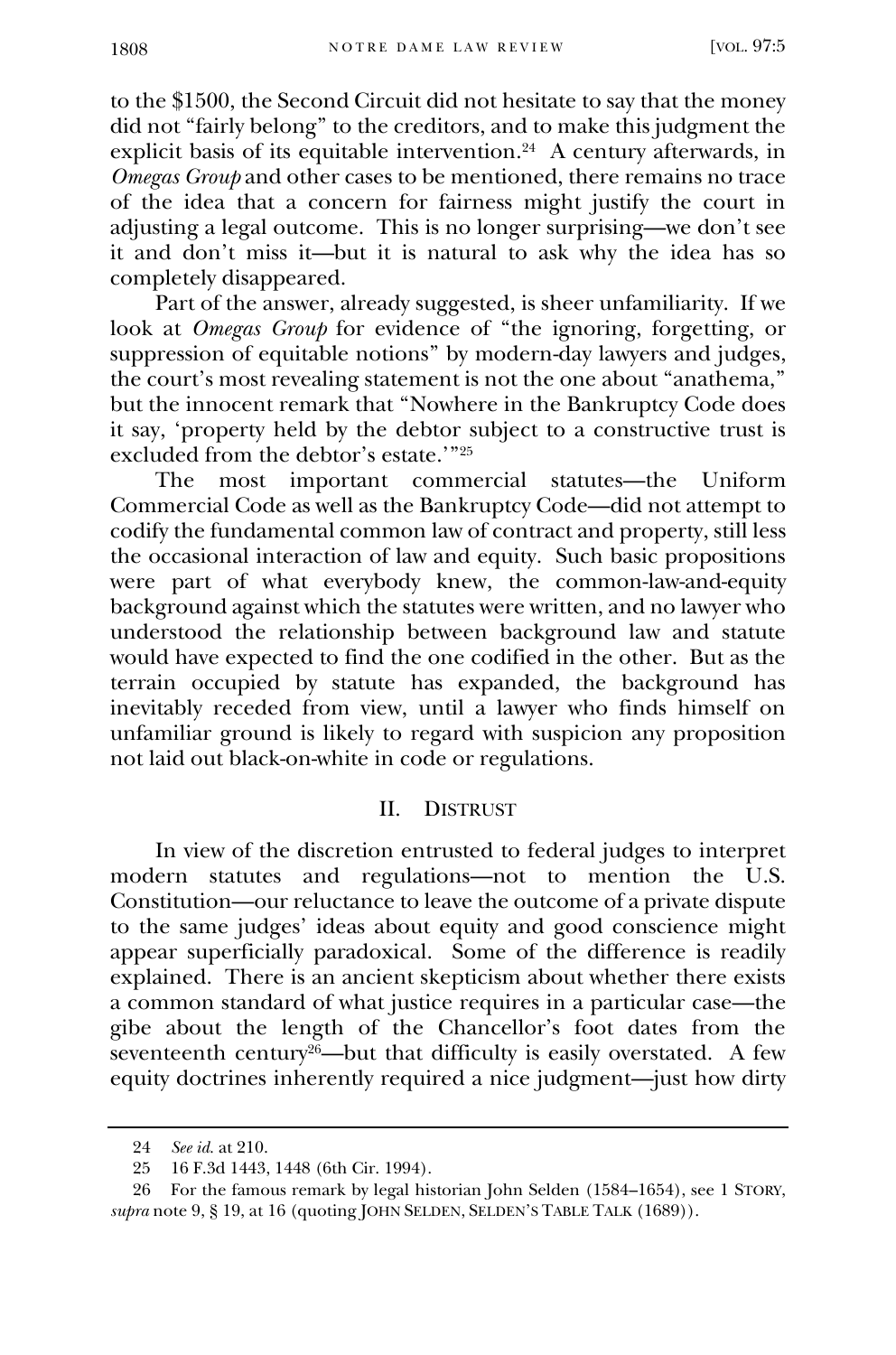to the \$1500, the Second Circuit did not hesitate to say that the money did not "fairly belong" to the creditors, and to make this judgment the explicit basis of its equitable intervention.<sup>24</sup> A century afterwards, in *Omegas Group* and other cases to be mentioned, there remains no trace of the idea that a concern for fairness might justify the court in adjusting a legal outcome. This is no longer surprising—we don't see it and don't miss it—but it is natural to ask why the idea has so completely disappeared.

Part of the answer, already suggested, is sheer unfamiliarity. If we look at *Omegas Group* for evidence of "the ignoring, forgetting, or suppression of equitable notions" by modern-day lawyers and judges, the court's most revealing statement is not the one about "anathema," but the innocent remark that "Nowhere in the Bankruptcy Code does it say, 'property held by the debtor subject to a constructive trust is excluded from the debtor's estate.'" 25

The most important commercial statutes—the Uniform Commercial Code as well as the Bankruptcy Code—did not attempt to codify the fundamental common law of contract and property, still less the occasional interaction of law and equity. Such basic propositions were part of what everybody knew, the common-law-and-equity background against which the statutes were written, and no lawyer who understood the relationship between background law and statute would have expected to find the one codified in the other. But as the terrain occupied by statute has expanded, the background has inevitably receded from view, until a lawyer who finds himself on unfamiliar ground is likely to regard with suspicion any proposition not laid out black-on-white in code or regulations.

#### II. DISTRUST

In view of the discretion entrusted to federal judges to interpret modern statutes and regulations—not to mention the U.S. Constitution—our reluctance to leave the outcome of a private dispute to the same judges' ideas about equity and good conscience might appear superficially paradoxical. Some of the difference is readily explained. There is an ancient skepticism about whether there exists a common standard of what justice requires in a particular case—the gibe about the length of the Chancellor's foot dates from the seventeenth century<sup>26</sup>—but that difficulty is easily overstated. A few equity doctrines inherently required a nice judgment—just how dirty

<sup>24</sup> *See id.* at 210.

<sup>25</sup> 16 F.3d 1443, 1448 (6th Cir. 1994).

<sup>26</sup> For the famous remark by legal historian John Selden (1584–1654), see 1 STORY, *supra* note 9, § 19, at 16 (quoting JOHN SELDEN, SELDEN'S TABLE TALK (1689)).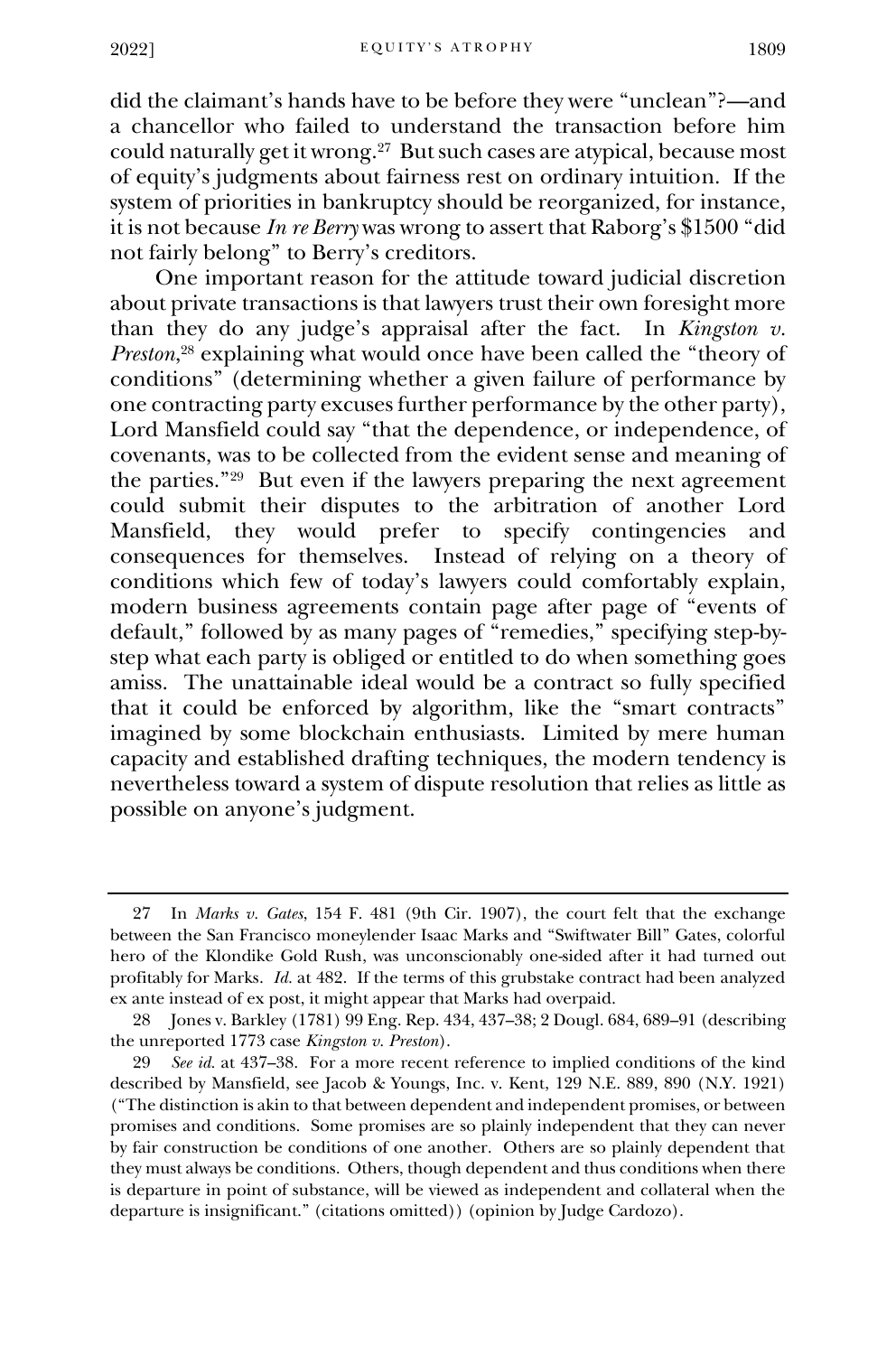did the claimant's hands have to be before they were "unclean"?—and a chancellor who failed to understand the transaction before him could naturally get it wrong.<sup>27</sup> But such cases are atypical, because most of equity's judgments about fairness rest on ordinary intuition. If the system of priorities in bankruptcy should be reorganized, for instance, it is not because *In re Berry* was wrong to assert that Raborg's \$1500 "did not fairly belong" to Berry's creditors.

One important reason for the attitude toward judicial discretion about private transactions is that lawyers trust their own foresight more than they do any judge's appraisal after the fact. In *Kingston v. Preston*, <sup>28</sup> explaining what would once have been called the "theory of conditions" (determining whether a given failure of performance by one contracting party excuses further performance by the other party), Lord Mansfield could say "that the dependence, or independence, of covenants, was to be collected from the evident sense and meaning of the parties."<sup>29</sup> But even if the lawyers preparing the next agreement could submit their disputes to the arbitration of another Lord Mansfield, they would prefer to specify contingencies and consequences for themselves. Instead of relying on a theory of conditions which few of today's lawyers could comfortably explain, modern business agreements contain page after page of "events of default," followed by as many pages of "remedies," specifying step-bystep what each party is obliged or entitled to do when something goes amiss. The unattainable ideal would be a contract so fully specified that it could be enforced by algorithm, like the "smart contracts" imagined by some blockchain enthusiasts. Limited by mere human capacity and established drafting techniques, the modern tendency is nevertheless toward a system of dispute resolution that relies as little as possible on anyone's judgment.

<sup>27</sup> In *Marks v. Gates*, 154 F. 481 (9th Cir. 1907), the court felt that the exchange between the San Francisco moneylender Isaac Marks and "Swiftwater Bill" Gates, colorful hero of the Klondike Gold Rush, was unconscionably one-sided after it had turned out profitably for Marks. *Id.* at 482. If the terms of this grubstake contract had been analyzed ex ante instead of ex post, it might appear that Marks had overpaid.

<sup>28</sup> Jones v. Barkley (1781) 99 Eng. Rep. 434, 437–38; 2 Dougl. 684, 689–91 (describing the unreported 1773 case *Kingston v. Preston*).

<sup>29</sup> *See id.* at 437–38. For a more recent reference to implied conditions of the kind described by Mansfield, see Jacob & Youngs, Inc. v. Kent, 129 N.E. 889, 890 (N.Y. 1921) ("The distinction is akin to that between dependent and independent promises, or between promises and conditions. Some promises are so plainly independent that they can never by fair construction be conditions of one another. Others are so plainly dependent that they must always be conditions. Others, though dependent and thus conditions when there is departure in point of substance, will be viewed as independent and collateral when the departure is insignificant." (citations omitted)) (opinion by Judge Cardozo).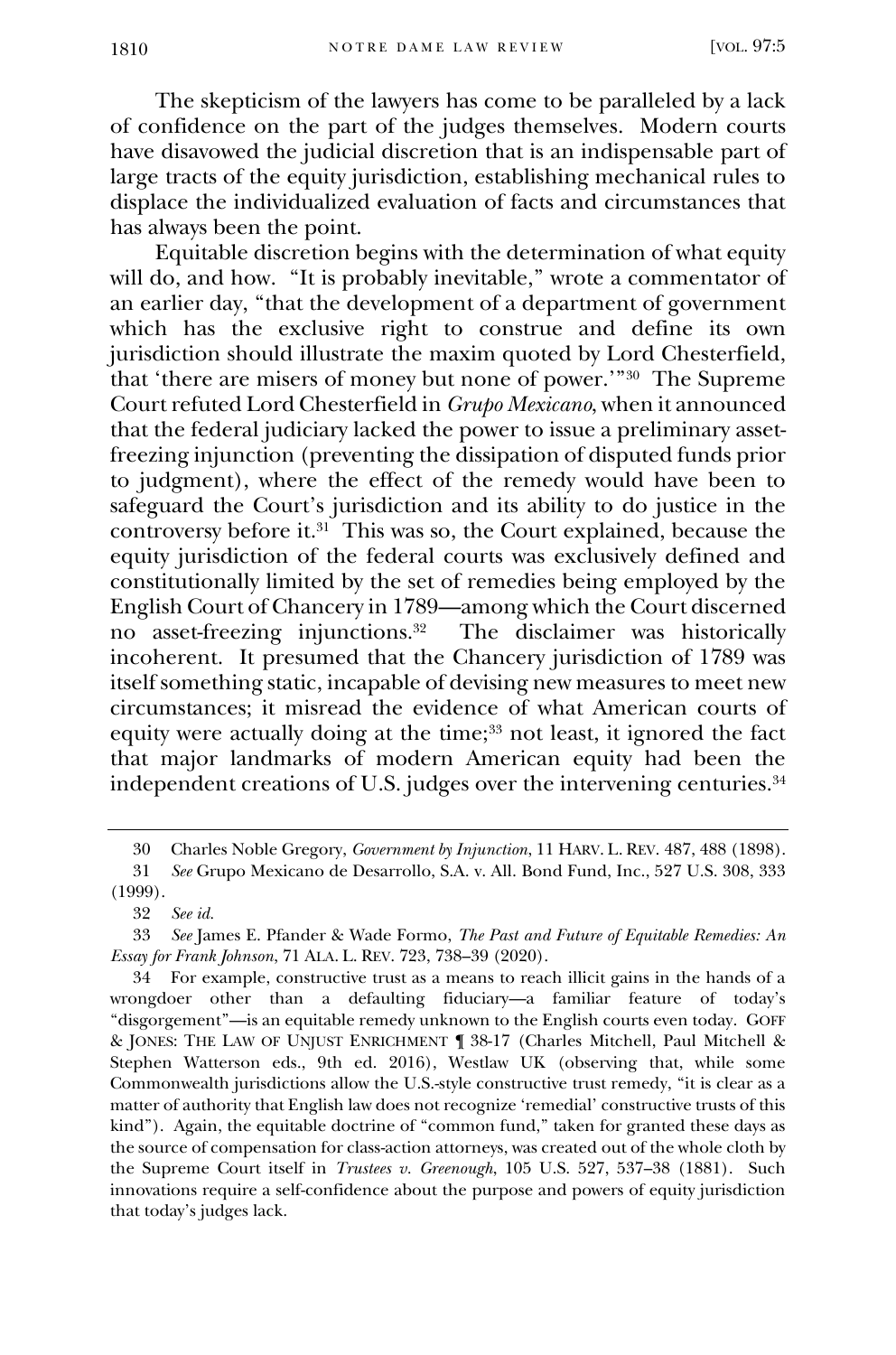The skepticism of the lawyers has come to be paralleled by a lack of confidence on the part of the judges themselves. Modern courts have disavowed the judicial discretion that is an indispensable part of large tracts of the equity jurisdiction, establishing mechanical rules to displace the individualized evaluation of facts and circumstances that has always been the point.

Equitable discretion begins with the determination of what equity will do, and how. "It is probably inevitable," wrote a commentator of an earlier day, "that the development of a department of government which has the exclusive right to construe and define its own jurisdiction should illustrate the maxim quoted by Lord Chesterfield, that 'there are misers of money but none of power.'"<sup>30</sup> The Supreme Court refuted Lord Chesterfield in *Grupo Mexicano*, when it announced that the federal judiciary lacked the power to issue a preliminary assetfreezing injunction (preventing the dissipation of disputed funds prior to judgment), where the effect of the remedy would have been to safeguard the Court's jurisdiction and its ability to do justice in the controversy before it.<sup>31</sup> This was so, the Court explained, because the equity jurisdiction of the federal courts was exclusively defined and constitutionally limited by the set of remedies being employed by the English Court of Chancery in 1789—among which the Court discerned no asset-freezing injunctions.<sup>32</sup> The disclaimer was historically incoherent. It presumed that the Chancery jurisdiction of 1789 was itself something static, incapable of devising new measures to meet new circumstances; it misread the evidence of what American courts of equity were actually doing at the time;<sup>33</sup> not least, it ignored the fact that major landmarks of modern American equity had been the independent creations of U.S. judges over the intervening centuries.<sup>34</sup>

<sup>30</sup> Charles Noble Gregory, *Government by Injunction*, 11 HARV. L. REV. 487, 488 (1898).

<sup>31</sup> *See* Grupo Mexicano de Desarrollo, S.A. v. All. Bond Fund, Inc., 527 U.S. 308, 333 (1999).

<sup>32</sup> *See id.*

<sup>33</sup> *See* James E. Pfander & Wade Formo, *The Past and Future of Equitable Remedies: An Essay for Frank Johnson*, 71 ALA. L. REV. 723, 738–39 (2020).

<sup>34</sup> For example, constructive trust as a means to reach illicit gains in the hands of a wrongdoer other than a defaulting fiduciary—a familiar feature of today's "disgorgement"—is an equitable remedy unknown to the English courts even today. GOFF & JONES: THE LAW OF UNJUST ENRICHMENT ¶ 38-17 (Charles Mitchell, Paul Mitchell & Stephen Watterson eds., 9th ed. 2016), Westlaw UK (observing that, while some Commonwealth jurisdictions allow the U.S.-style constructive trust remedy, "it is clear as a matter of authority that English law does not recognize 'remedial' constructive trusts of this kind"). Again, the equitable doctrine of "common fund," taken for granted these days as the source of compensation for class-action attorneys, was created out of the whole cloth by the Supreme Court itself in *Trustees v. Greenough*, 105 U.S. 527, 537–38 (1881). Such innovations require a self-confidence about the purpose and powers of equity jurisdiction that today's judges lack.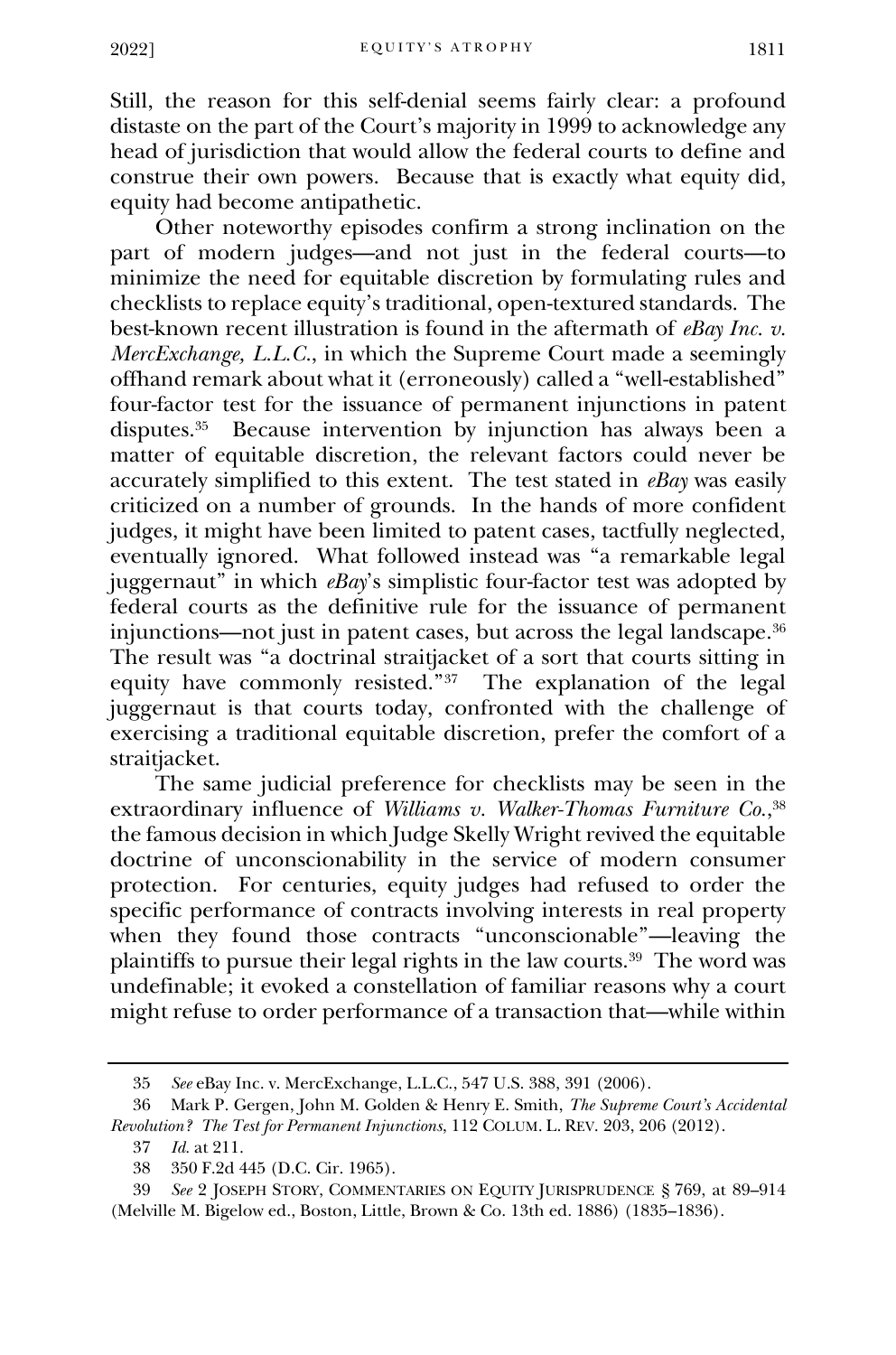Still, the reason for this self-denial seems fairly clear: a profound distaste on the part of the Court's majority in 1999 to acknowledge any head of jurisdiction that would allow the federal courts to define and construe their own powers. Because that is exactly what equity did, equity had become antipathetic.

Other noteworthy episodes confirm a strong inclination on the part of modern judges—and not just in the federal courts—to minimize the need for equitable discretion by formulating rules and checklists to replace equity's traditional, open-textured standards. The best-known recent illustration is found in the aftermath of *eBay Inc. v. MercExchange, L.L.C.*, in which the Supreme Court made a seemingly offhand remark about what it (erroneously) called a "well-established" four-factor test for the issuance of permanent injunctions in patent disputes.<sup>35</sup> Because intervention by injunction has always been a matter of equitable discretion, the relevant factors could never be accurately simplified to this extent. The test stated in *eBay* was easily criticized on a number of grounds. In the hands of more confident judges, it might have been limited to patent cases, tactfully neglected, eventually ignored. What followed instead was "a remarkable legal juggernaut" in which *eBay*'s simplistic four-factor test was adopted by federal courts as the definitive rule for the issuance of permanent injunctions—not just in patent cases, but across the legal landscape. $^{\rm 36}$ The result was "a doctrinal straitjacket of a sort that courts sitting in equity have commonly resisted."<sup>37</sup> The explanation of the legal juggernaut is that courts today, confronted with the challenge of exercising a traditional equitable discretion, prefer the comfort of a straitjacket.

The same judicial preference for checklists may be seen in the extraordinary influence of *Williams v. Walker-Thomas Furniture Co.*, 38 the famous decision in which Judge Skelly Wright revived the equitable doctrine of unconscionability in the service of modern consumer protection. For centuries, equity judges had refused to order the specific performance of contracts involving interests in real property when they found those contracts "unconscionable"—leaving the plaintiffs to pursue their legal rights in the law courts.<sup>39</sup> The word was undefinable; it evoked a constellation of familiar reasons why a court might refuse to order performance of a transaction that—while within

<sup>35</sup> *See* eBay Inc. v. MercExchange, L.L.C., 547 U.S. 388, 391 (2006).

<sup>36</sup> Mark P. Gergen, John M. Golden & Henry E. Smith, *The Supreme Court's Accidental Revolution? The Test for Permanent Injunctions*, 112 COLUM. L. REV. 203, 206 (2012).

<sup>37</sup> *Id.* at 211.

<sup>38</sup> 350 F.2d 445 (D.C. Cir. 1965).

<sup>39</sup> *See* 2 JOSEPH STORY, COMMENTARIES ON EQUITY JURISPRUDENCE § 769, at 89–914 (Melville M. Bigelow ed., Boston, Little, Brown & Co. 13th ed. 1886) (1835–1836).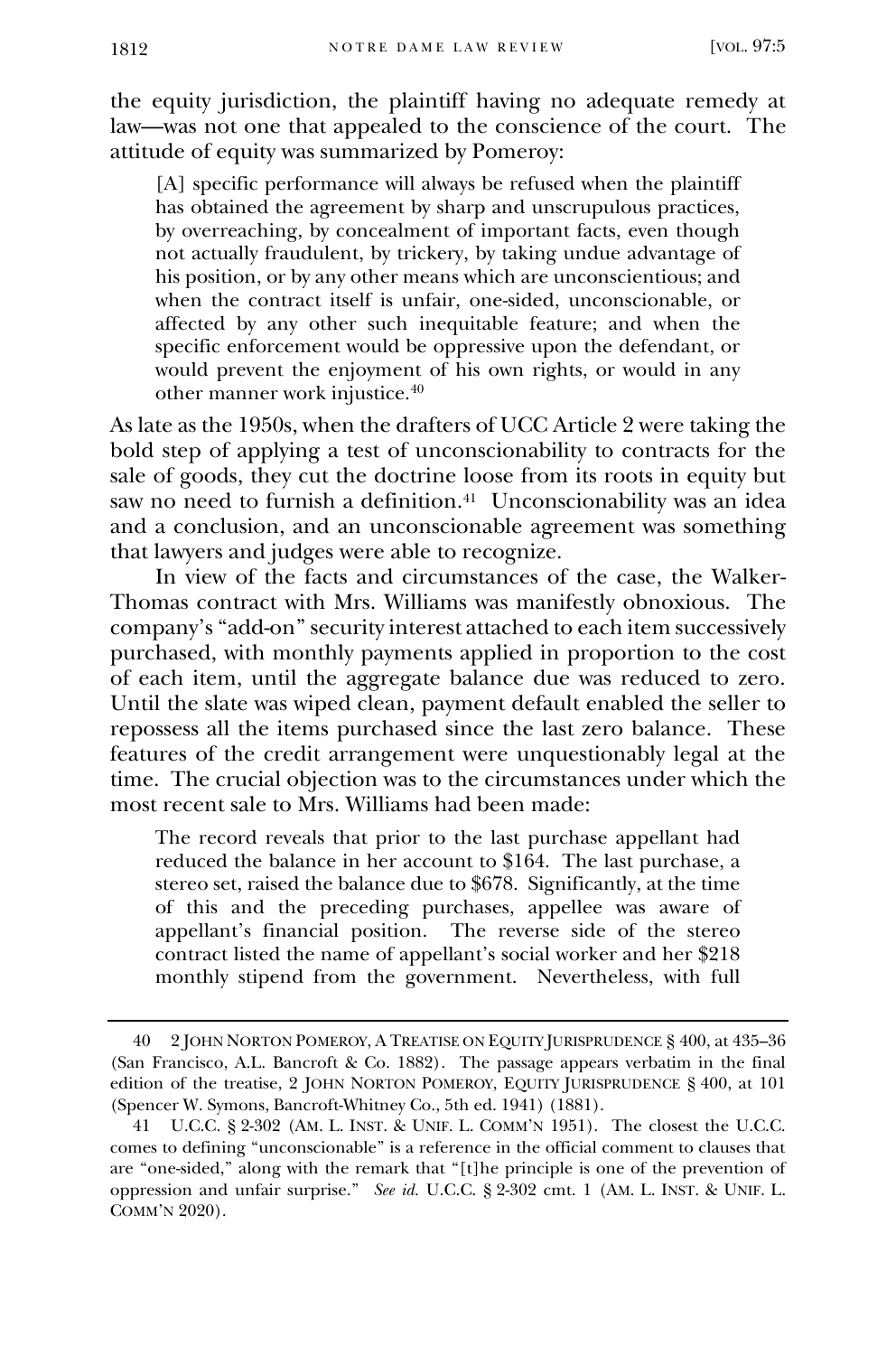the equity jurisdiction, the plaintiff having no adequate remedy at law—was not one that appealed to the conscience of the court. The attitude of equity was summarized by Pomeroy:

[A] specific performance will always be refused when the plaintiff has obtained the agreement by sharp and unscrupulous practices, by overreaching, by concealment of important facts, even though not actually fraudulent, by trickery, by taking undue advantage of his position, or by any other means which are unconscientious; and when the contract itself is unfair, one-sided, unconscionable, or affected by any other such inequitable feature; and when the specific enforcement would be oppressive upon the defendant, or would prevent the enjoyment of his own rights, or would in any other manner work injustice.<sup>40</sup>

As late as the 1950s, when the drafters of UCC Article 2 were taking the bold step of applying a test of unconscionability to contracts for the sale of goods, they cut the doctrine loose from its roots in equity but saw no need to furnish a definition.<sup>41</sup> Unconscionability was an idea and a conclusion, and an unconscionable agreement was something that lawyers and judges were able to recognize.

In view of the facts and circumstances of the case, the Walker-Thomas contract with Mrs. Williams was manifestly obnoxious. The company's "add-on" security interest attached to each item successively purchased, with monthly payments applied in proportion to the cost of each item, until the aggregate balance due was reduced to zero. Until the slate was wiped clean, payment default enabled the seller to repossess all the items purchased since the last zero balance. These features of the credit arrangement were unquestionably legal at the time. The crucial objection was to the circumstances under which the most recent sale to Mrs. Williams had been made:

The record reveals that prior to the last purchase appellant had reduced the balance in her account to \$164. The last purchase, a stereo set, raised the balance due to \$678. Significantly, at the time of this and the preceding purchases, appellee was aware of appellant's financial position. The reverse side of the stereo contract listed the name of appellant's social worker and her \$218 monthly stipend from the government. Nevertheless, with full

<sup>40</sup> 2 JOHN NORTON POMEROY, A TREATISE ON EQUITY JURISPRUDENCE § 400, at 435–36 (San Francisco, A.L. Bancroft & Co. 1882). The passage appears verbatim in the final edition of the treatise, 2 JOHN NORTON POMEROY, EQUITY JURISPRUDENCE § 400, at 101 (Spencer W. Symons, Bancroft-Whitney Co., 5th ed. 1941) (1881).

<sup>41</sup> U.C.C. § 2-302 (AM. L. INST. & UNIF. L. COMM'N 1951). The closest the U.C.C. comes to defining "unconscionable" is a reference in the official comment to clauses that are "one-sided," along with the remark that "[t]he principle is one of the prevention of oppression and unfair surprise." *See id.* U.C.C. § 2-302 cmt. 1 (AM. L. INST. & UNIF. L. COMM'N 2020).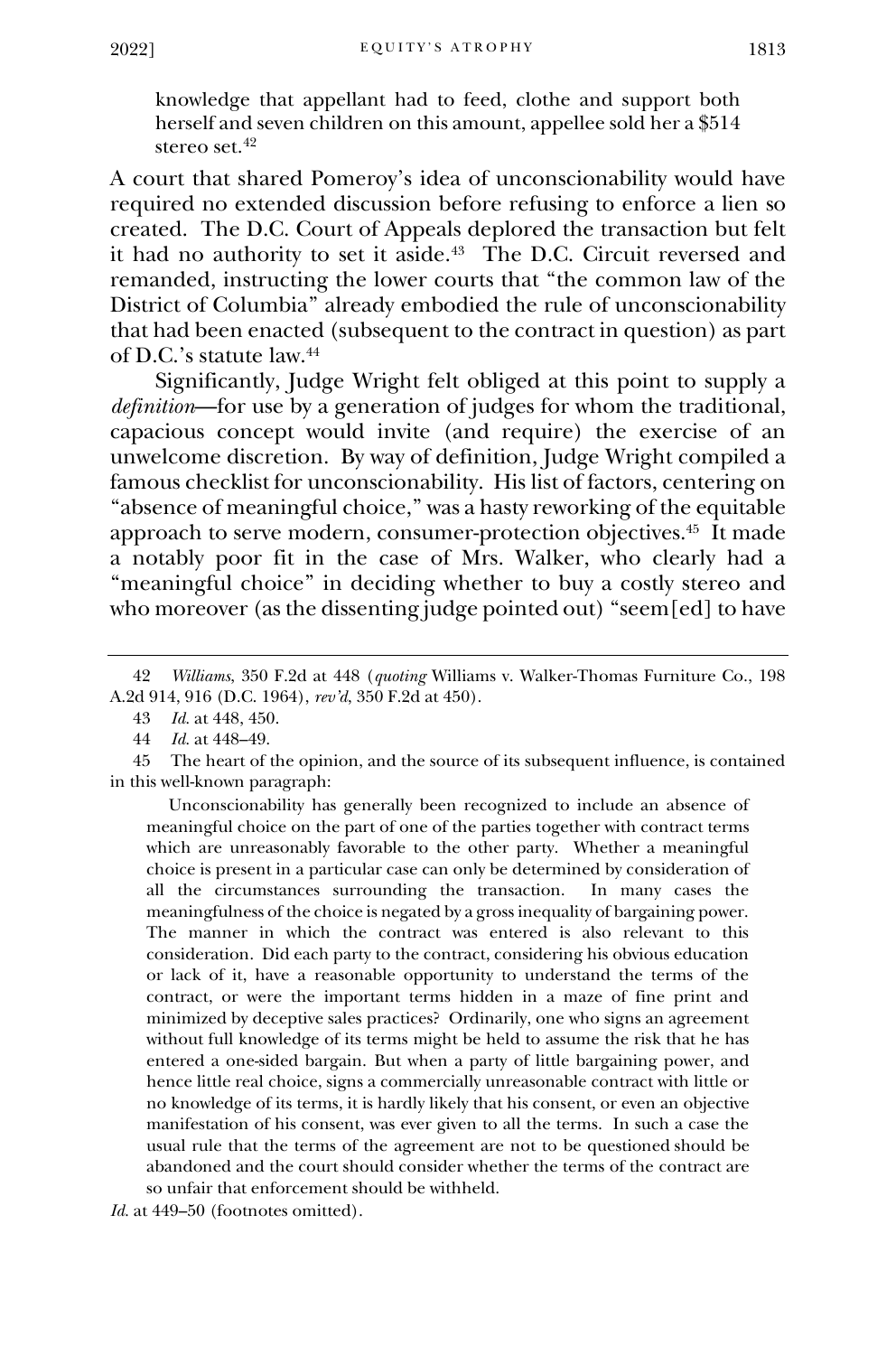knowledge that appellant had to feed, clothe and support both herself and seven children on this amount, appellee sold her a \$514 stereo set.<sup>42</sup>

A court that shared Pomeroy's idea of unconscionability would have required no extended discussion before refusing to enforce a lien so created. The D.C. Court of Appeals deplored the transaction but felt it had no authority to set it aside.<sup>43</sup> The D.C. Circuit reversed and remanded, instructing the lower courts that "the common law of the District of Columbia" already embodied the rule of unconscionability that had been enacted (subsequent to the contract in question) as part of D.C.'s statute law.<sup>44</sup>

Significantly, Judge Wright felt obliged at this point to supply a *definition*—for use by a generation of judges for whom the traditional, capacious concept would invite (and require) the exercise of an unwelcome discretion. By way of definition, Judge Wright compiled a famous checklist for unconscionability. His list of factors, centering on "absence of meaningful choice," was a hasty reworking of the equitable approach to serve modern, consumer-protection objectives.<sup>45</sup> It made a notably poor fit in the case of Mrs. Walker, who clearly had a "meaningful choice" in deciding whether to buy a costly stereo and who moreover (as the dissenting judge pointed out) "seem[ed] to have

45 The heart of the opinion, and the source of its subsequent influence, is contained in this well-known paragraph:

 Unconscionability has generally been recognized to include an absence of meaningful choice on the part of one of the parties together with contract terms which are unreasonably favorable to the other party. Whether a meaningful choice is present in a particular case can only be determined by consideration of all the circumstances surrounding the transaction. In many cases the meaningfulness of the choice is negated by a gross inequality of bargaining power. The manner in which the contract was entered is also relevant to this consideration. Did each party to the contract, considering his obvious education or lack of it, have a reasonable opportunity to understand the terms of the contract, or were the important terms hidden in a maze of fine print and minimized by deceptive sales practices? Ordinarily, one who signs an agreement without full knowledge of its terms might be held to assume the risk that he has entered a one-sided bargain. But when a party of little bargaining power, and hence little real choice, signs a commercially unreasonable contract with little or no knowledge of its terms, it is hardly likely that his consent, or even an objective manifestation of his consent, was ever given to all the terms. In such a case the usual rule that the terms of the agreement are not to be questioned should be abandoned and the court should consider whether the terms of the contract are so unfair that enforcement should be withheld.

<sup>42</sup> *Williams*, 350 F.2d at 448 (*quoting* Williams v. Walker-Thomas Furniture Co., 198 A.2d 914, 916 (D.C. 1964), *rev'd*, 350 F.2d at 450).

<sup>43</sup> *Id.* at 448, 450.

<sup>44</sup> *Id.* at 448–49.

Id. at 449–50 (footnotes omitted).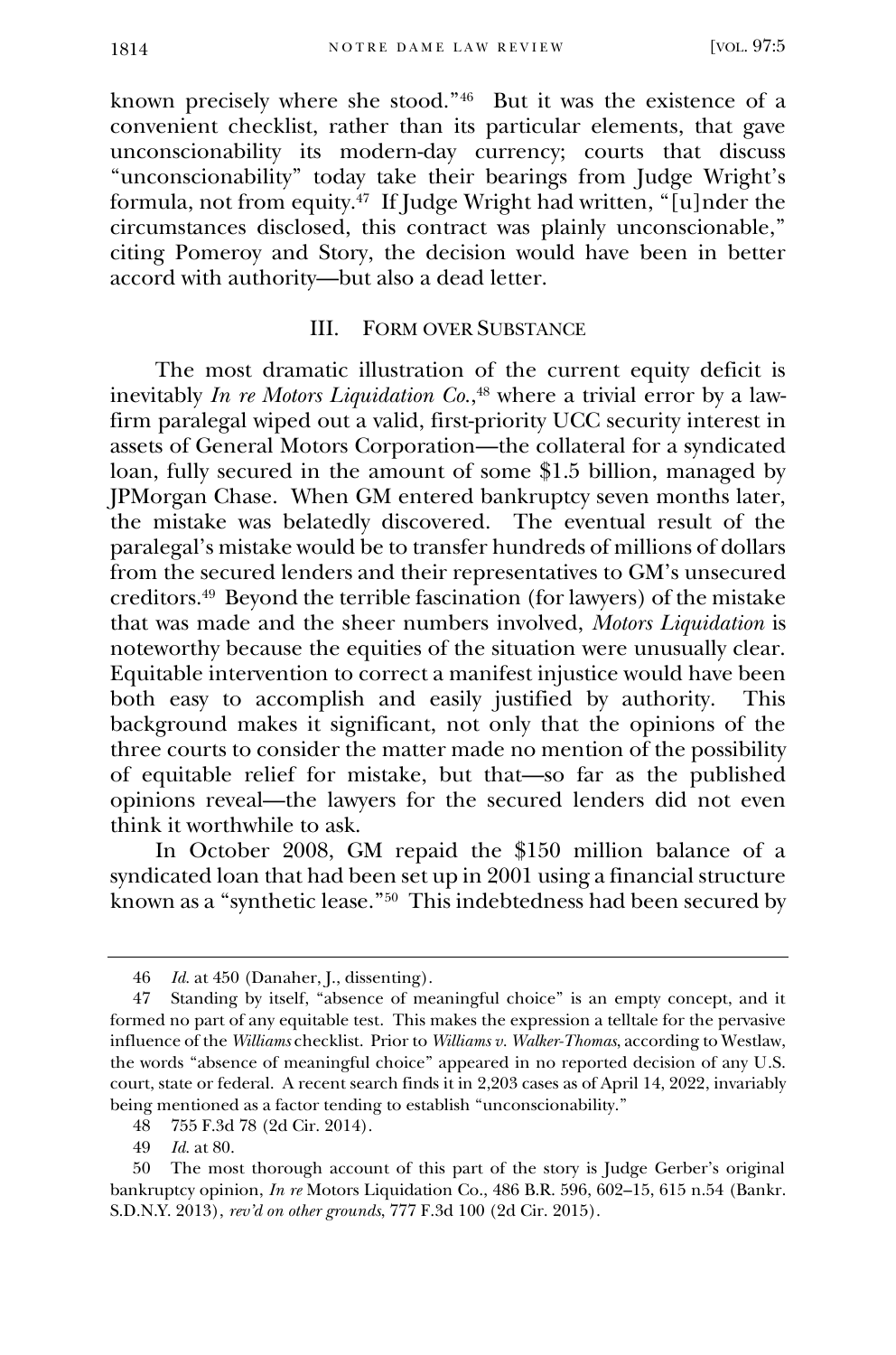known precisely where she stood."<sup>46</sup> But it was the existence of a convenient checklist, rather than its particular elements, that gave unconscionability its modern-day currency; courts that discuss "unconscionability" today take their bearings from Judge Wright's formula, not from equity.<sup>47</sup> If Judge Wright had written, "[u]nder the circumstances disclosed, this contract was plainly unconscionable," citing Pomeroy and Story, the decision would have been in better accord with authority—but also a dead letter.

## III. FORM OVER SUBSTANCE

The most dramatic illustration of the current equity deficit is inevitably *In re Motors Liquidation Co.*, <sup>48</sup> where a trivial error by a lawfirm paralegal wiped out a valid, first-priority UCC security interest in assets of General Motors Corporation—the collateral for a syndicated loan, fully secured in the amount of some \$1.5 billion, managed by JPMorgan Chase. When GM entered bankruptcy seven months later, the mistake was belatedly discovered. The eventual result of the paralegal's mistake would be to transfer hundreds of millions of dollars from the secured lenders and their representatives to GM's unsecured creditors.<sup>49</sup> Beyond the terrible fascination (for lawyers) of the mistake that was made and the sheer numbers involved, *Motors Liquidation* is noteworthy because the equities of the situation were unusually clear. Equitable intervention to correct a manifest injustice would have been both easy to accomplish and easily justified by authority. This background makes it significant, not only that the opinions of the three courts to consider the matter made no mention of the possibility of equitable relief for mistake, but that—so far as the published opinions reveal—the lawyers for the secured lenders did not even think it worthwhile to ask.

In October 2008, GM repaid the \$150 million balance of a syndicated loan that had been set up in 2001 using a financial structure known as a "synthetic lease."<sup>50</sup> This indebtedness had been secured by

<sup>46</sup> *Id.* at 450 (Danaher, J., dissenting).

<sup>47</sup> Standing by itself, "absence of meaningful choice" is an empty concept, and it formed no part of any equitable test. This makes the expression a telltale for the pervasive influence of the *Williams* checklist. Prior to *Williams v. Walker-Thomas*, according to Westlaw, the words "absence of meaningful choice" appeared in no reported decision of any U.S. court, state or federal. A recent search finds it in 2,203 cases as of April 14, 2022, invariably being mentioned as a factor tending to establish "unconscionability."

<sup>48</sup> 755 F.3d 78 (2d Cir. 2014).

<sup>49</sup> *Id.* at 80.

<sup>50</sup> The most thorough account of this part of the story is Judge Gerber's original bankruptcy opinion, *In re* Motors Liquidation Co., 486 B.R. 596, 602–15, 615 n.54 (Bankr. S.D.N.Y. 2013), *rev'd on other grounds*, 777 F.3d 100 (2d Cir. 2015).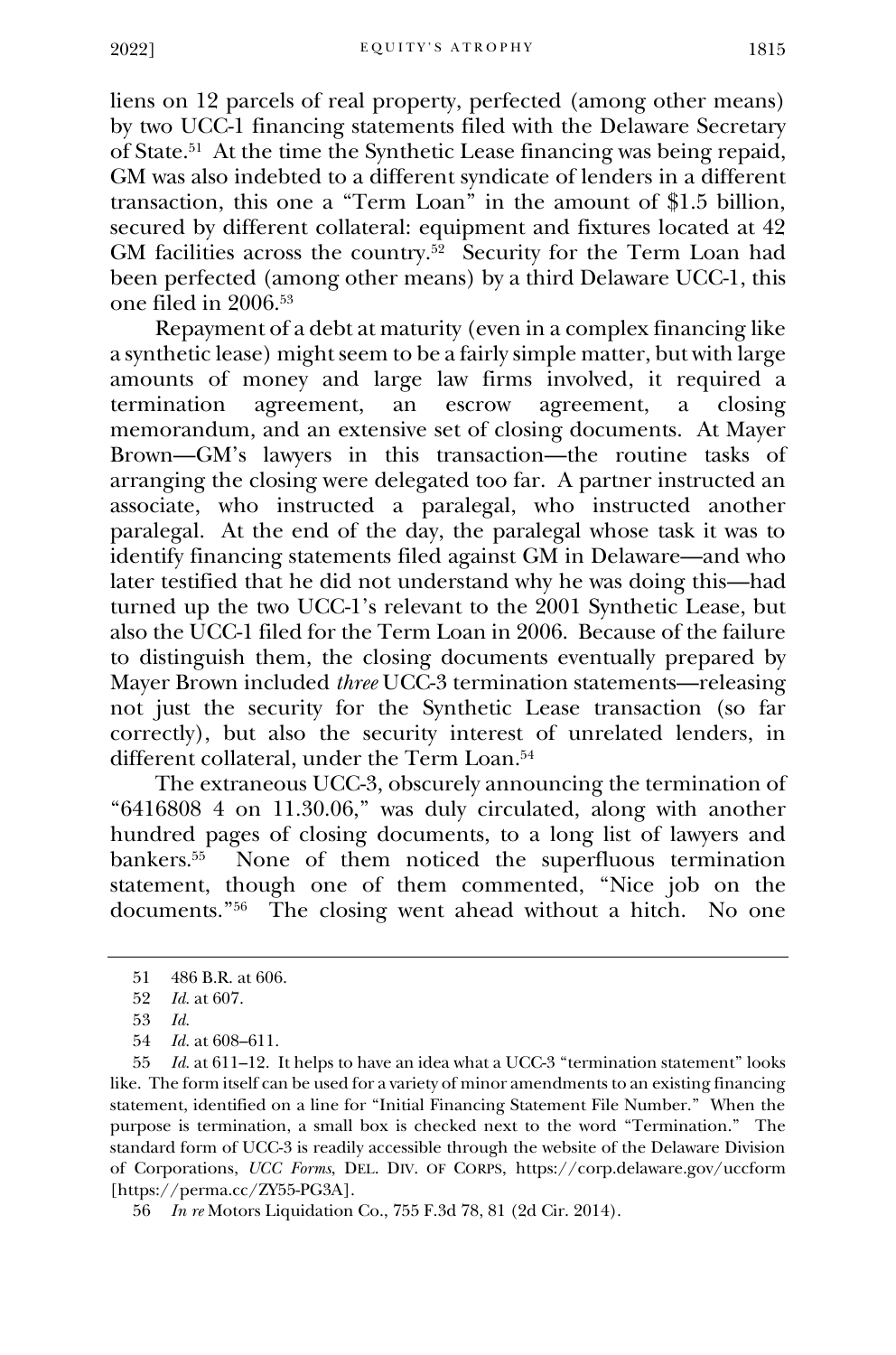EQUITY'S ATROPHY 1815

2022]

liens on 12 parcels of real property, perfected (among other means) by two UCC-1 financing statements filed with the Delaware Secretary of State.<sup>51</sup> At the time the Synthetic Lease financing was being repaid, GM was also indebted to a different syndicate of lenders in a different transaction, this one a "Term Loan" in the amount of \$1.5 billion, secured by different collateral: equipment and fixtures located at 42 GM facilities across the country.<sup>52</sup> Security for the Term Loan had been perfected (among other means) by a third Delaware UCC-1, this one filed in 2006.<sup>53</sup>

Repayment of a debt at maturity (even in a complex financing like a synthetic lease) might seem to be a fairly simple matter, but with large amounts of money and large law firms involved, it required a termination agreement, an escrow agreement, a closing memorandum, and an extensive set of closing documents. At Mayer Brown—GM's lawyers in this transaction—the routine tasks of arranging the closing were delegated too far. A partner instructed an associate, who instructed a paralegal, who instructed another paralegal. At the end of the day, the paralegal whose task it was to identify financing statements filed against GM in Delaware—and who later testified that he did not understand why he was doing this—had turned up the two UCC-1's relevant to the 2001 Synthetic Lease, but also the UCC-1 filed for the Term Loan in 2006. Because of the failure to distinguish them, the closing documents eventually prepared by Mayer Brown included *three* UCC-3 termination statements—releasing not just the security for the Synthetic Lease transaction (so far correctly), but also the security interest of unrelated lenders, in different collateral, under the Term Loan.<sup>54</sup>

The extraneous UCC-3, obscurely announcing the termination of "6416808 4 on 11.30.06," was duly circulated, along with another hundred pages of closing documents, to a long list of lawyers and bankers.<sup>55</sup> None of them noticed the superfluous termination statement, though one of them commented, "Nice job on the documents." 56 The closing went ahead without a hitch. No one

<sup>51</sup> 486 B.R. at 606.

<sup>52</sup> *Id.* at 607.

<sup>53</sup> *Id.*

<sup>54</sup> *Id.* at 608–611.

<sup>55</sup> *Id.* at 611–12. It helps to have an idea what a UCC-3 "termination statement" looks like. The form itself can be used for a variety of minor amendments to an existing financing statement, identified on a line for "Initial Financing Statement File Number." When the purpose is termination, a small box is checked next to the word "Termination." The standard form of UCC-3 is readily accessible through the website of the Delaware Division of Corporations, *UCC Forms*, DEL. DIV. OF CORPS, https://corp.delaware.gov/uccform [https://perma.cc/ZY55-PG3A].

<sup>56</sup> *In re* Motors Liquidation Co., 755 F.3d 78, 81 (2d Cir. 2014).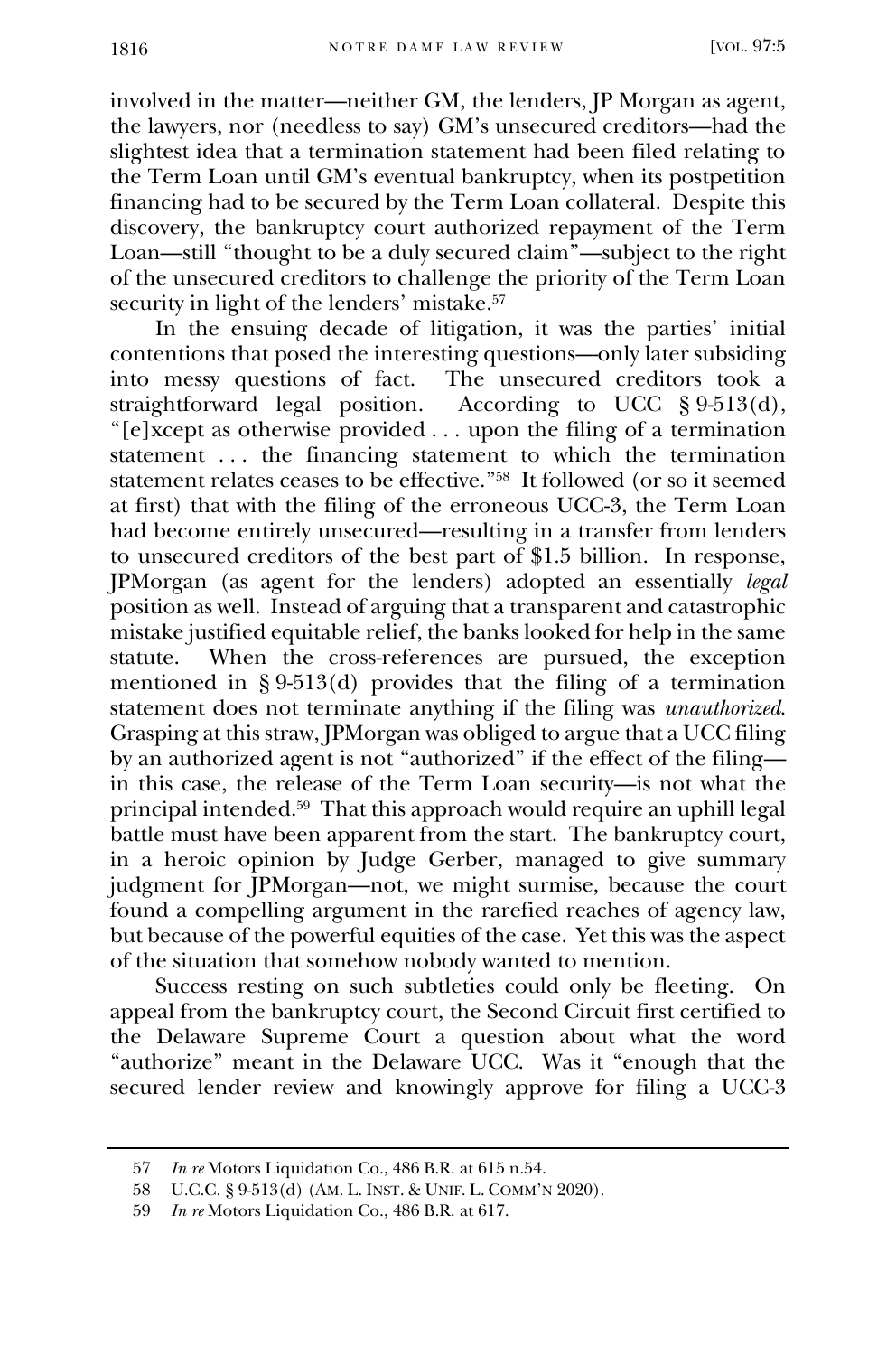involved in the matter—neither GM, the lenders, JP Morgan as agent, the lawyers, nor (needless to say) GM's unsecured creditors—had the slightest idea that a termination statement had been filed relating to the Term Loan until GM's eventual bankruptcy, when its postpetition financing had to be secured by the Term Loan collateral. Despite this discovery, the bankruptcy court authorized repayment of the Term Loan—still "thought to be a duly secured claim"—subject to the right of the unsecured creditors to challenge the priority of the Term Loan security in light of the lenders' mistake.<sup>57</sup>

In the ensuing decade of litigation, it was the parties' initial contentions that posed the interesting questions—only later subsiding into messy questions of fact. The unsecured creditors took a straightforward legal position. According to UCC § 9-513(d), "[e]xcept as otherwise provided . . . upon the filing of a termination statement ... the financing statement to which the termination statement relates ceases to be effective."<sup>58</sup> It followed (or so it seemed at first) that with the filing of the erroneous UCC-3, the Term Loan had become entirely unsecured—resulting in a transfer from lenders to unsecured creditors of the best part of \$1.5 billion. In response, JPMorgan (as agent for the lenders) adopted an essentially *legal* position as well. Instead of arguing that a transparent and catastrophic mistake justified equitable relief, the banks looked for help in the same<br>statute. When the cross-references are pursued, the exception When the cross-references are pursued, the exception mentioned in § 9-513(d) provides that the filing of a termination statement does not terminate anything if the filing was *unauthorized*. Grasping at this straw, JPMorgan was obliged to argue that a UCC filing by an authorized agent is not "authorized" if the effect of the filing in this case, the release of the Term Loan security—is not what the principal intended.<sup>59</sup> That this approach would require an uphill legal battle must have been apparent from the start. The bankruptcy court, in a heroic opinion by Judge Gerber, managed to give summary judgment for JPMorgan—not, we might surmise, because the court found a compelling argument in the rarefied reaches of agency law, but because of the powerful equities of the case. Yet this was the aspect of the situation that somehow nobody wanted to mention.

Success resting on such subtleties could only be fleeting. On appeal from the bankruptcy court, the Second Circuit first certified to the Delaware Supreme Court a question about what the word "authorize" meant in the Delaware UCC. Was it "enough that the secured lender review and knowingly approve for filing a UCC-3

<sup>57</sup> *In re* Motors Liquidation Co., 486 B.R. at 615 n.54.

<sup>58</sup> U.C.C. § 9-513(d) (AM. L. INST. & UNIF. L. COMM'N 2020).

<sup>59</sup> *In re* Motors Liquidation Co., 486 B.R. at 617.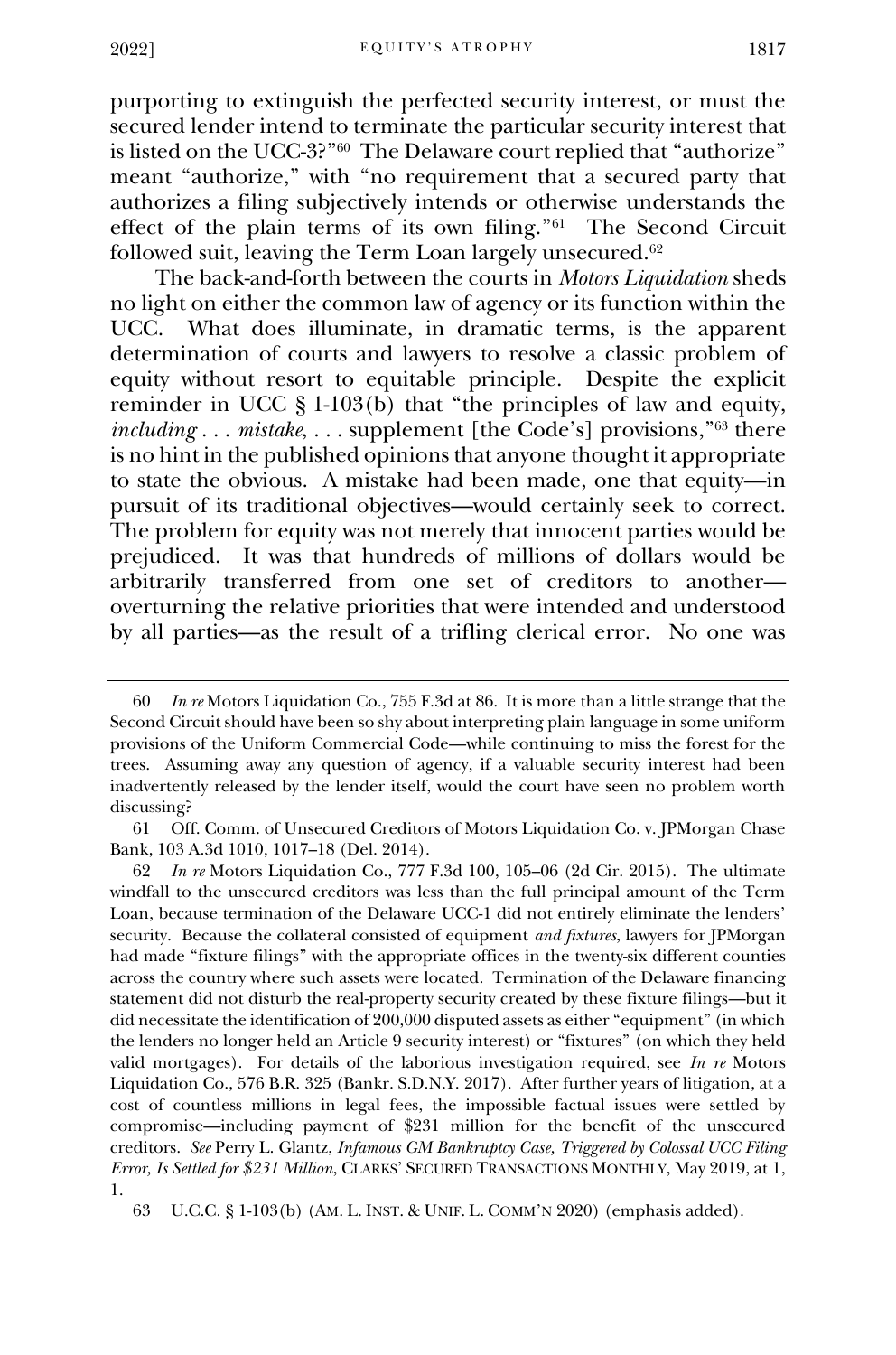purporting to extinguish the perfected security interest, or must the secured lender intend to terminate the particular security interest that is listed on the UCC-3?"<sup>60</sup> The Delaware court replied that "authorize" meant "authorize," with "no requirement that a secured party that authorizes a filing subjectively intends or otherwise understands the effect of the plain terms of its own filing."<sup>61</sup> The Second Circuit followed suit, leaving the Term Loan largely unsecured.<sup>62</sup>

The back-and-forth between the courts in *Motors Liquidation* sheds no light on either the common law of agency or its function within the UCC. What does illuminate, in dramatic terms, is the apparent determination of courts and lawyers to resolve a classic problem of equity without resort to equitable principle. Despite the explicit reminder in UCC § 1-103(b) that "the principles of law and equity, *including* . . . *mistake*, . . . supplement [the Code's] provisions," <sup>63</sup> there is no hint in the published opinions that anyone thought it appropriate to state the obvious. A mistake had been made, one that equity—in pursuit of its traditional objectives—would certainly seek to correct. The problem for equity was not merely that innocent parties would be prejudiced. It was that hundreds of millions of dollars would be arbitrarily transferred from one set of creditors to another overturning the relative priorities that were intended and understood by all parties—as the result of a trifling clerical error. No one was

61 Off. Comm. of Unsecured Creditors of Motors Liquidation Co. v. JPMorgan Chase Bank, 103 A.3d 1010, 1017–18 (Del. 2014).

62 *In re* Motors Liquidation Co., 777 F.3d 100, 105–06 (2d Cir. 2015). The ultimate windfall to the unsecured creditors was less than the full principal amount of the Term Loan, because termination of the Delaware UCC-1 did not entirely eliminate the lenders' security. Because the collateral consisted of equipment *and fixtures*, lawyers for JPMorgan had made "fixture filings" with the appropriate offices in the twenty-six different counties across the country where such assets were located. Termination of the Delaware financing statement did not disturb the real-property security created by these fixture filings—but it did necessitate the identification of 200,000 disputed assets as either "equipment" (in which the lenders no longer held an Article 9 security interest) or "fixtures" (on which they held valid mortgages). For details of the laborious investigation required, see *In re* Motors Liquidation Co., 576 B.R. 325 (Bankr. S.D.N.Y. 2017). After further years of litigation, at a cost of countless millions in legal fees, the impossible factual issues were settled by compromise—including payment of \$231 million for the benefit of the unsecured creditors. *See* Perry L. Glantz, *Infamous GM Bankruptcy Case, Triggered by Colossal UCC Filing Error, Is Settled for \$231 Million*, CLARKS' SECURED TRANSACTIONS MONTHLY, May 2019, at 1, 1.

63 U.C.C. § 1-103(b) (AM. L. INST. & UNIF. L. COMM'N 2020) (emphasis added).

<sup>60</sup> *In re* Motors Liquidation Co., 755 F.3d at 86. It is more than a little strange that the Second Circuit should have been so shy about interpreting plain language in some uniform provisions of the Uniform Commercial Code—while continuing to miss the forest for the trees. Assuming away any question of agency, if a valuable security interest had been inadvertently released by the lender itself, would the court have seen no problem worth discussing?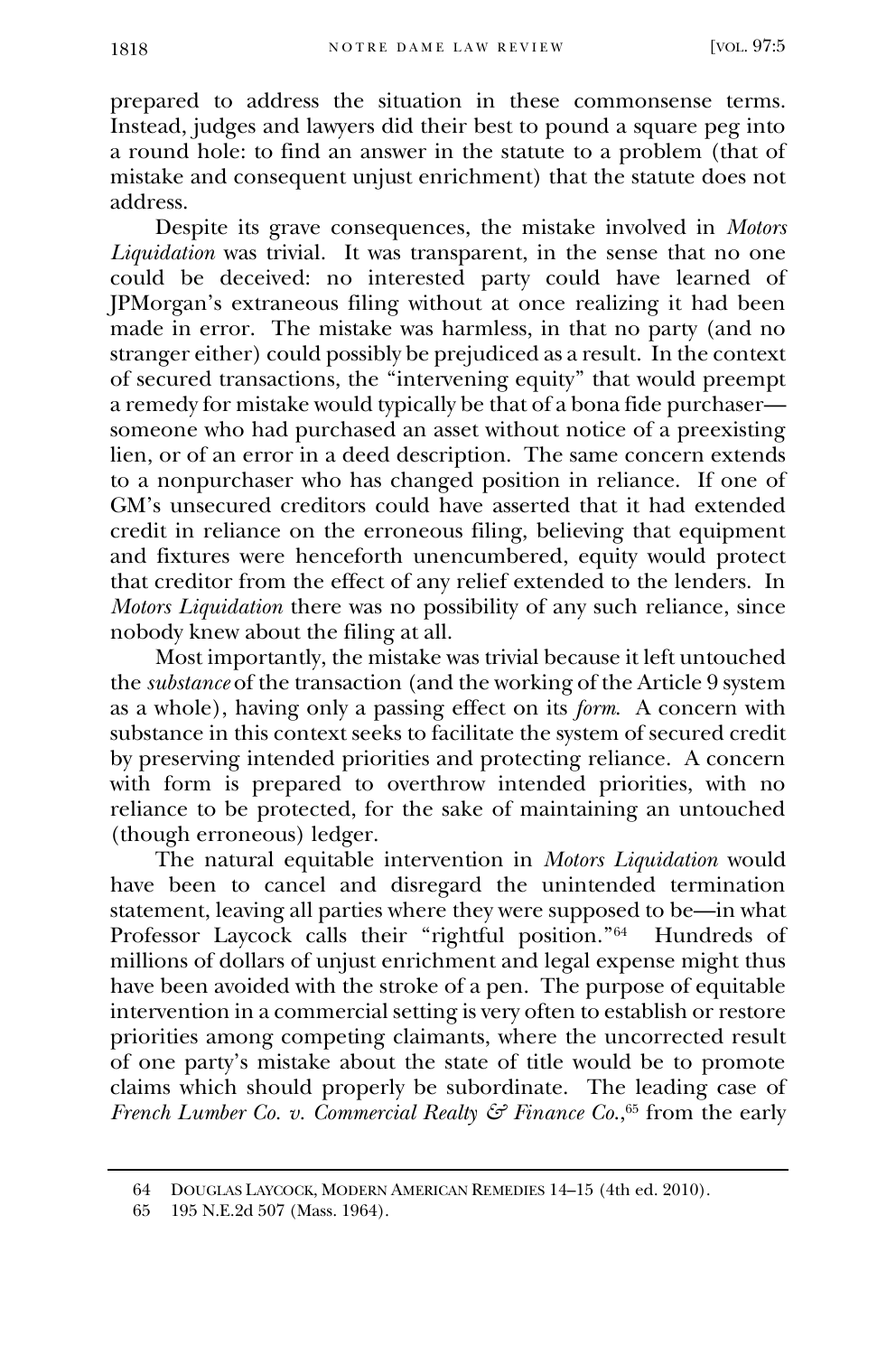prepared to address the situation in these commonsense terms. Instead, judges and lawyers did their best to pound a square peg into a round hole: to find an answer in the statute to a problem (that of mistake and consequent unjust enrichment) that the statute does not address.

Despite its grave consequences, the mistake involved in *Motors Liquidation* was trivial. It was transparent, in the sense that no one could be deceived: no interested party could have learned of JPMorgan's extraneous filing without at once realizing it had been made in error. The mistake was harmless, in that no party (and no stranger either) could possibly be prejudiced as a result. In the context of secured transactions, the "intervening equity" that would preempt a remedy for mistake would typically be that of a bona fide purchaser someone who had purchased an asset without notice of a preexisting lien, or of an error in a deed description. The same concern extends to a nonpurchaser who has changed position in reliance. If one of GM's unsecured creditors could have asserted that it had extended credit in reliance on the erroneous filing, believing that equipment and fixtures were henceforth unencumbered, equity would protect that creditor from the effect of any relief extended to the lenders. In *Motors Liquidation* there was no possibility of any such reliance, since nobody knew about the filing at all.

Most importantly, the mistake was trivial because it left untouched the *substance* of the transaction (and the working of the Article 9 system as a whole), having only a passing effect on its *form*. A concern with substance in this context seeks to facilitate the system of secured credit by preserving intended priorities and protecting reliance. A concern with form is prepared to overthrow intended priorities, with no reliance to be protected, for the sake of maintaining an untouched (though erroneous) ledger.

The natural equitable intervention in *Motors Liquidation* would have been to cancel and disregard the unintended termination statement, leaving all parties where they were supposed to be—in what Professor Laycock calls their "rightful position."<sup>64</sup> Hundreds of millions of dollars of unjust enrichment and legal expense might thus have been avoided with the stroke of a pen. The purpose of equitable intervention in a commercial setting is very often to establish or restore priorities among competing claimants, where the uncorrected result of one party's mistake about the state of title would be to promote claims which should properly be subordinate. The leading case of *French Lumber Co. v. Commercial Realty & Finance Co.*,<sup>65</sup> from the early

<sup>64</sup> DOUGLAS LAYCOCK, MODERN AMERICAN REMEDIES 14–15 (4th ed. 2010).

<sup>65</sup> 195 N.E.2d 507 (Mass. 1964).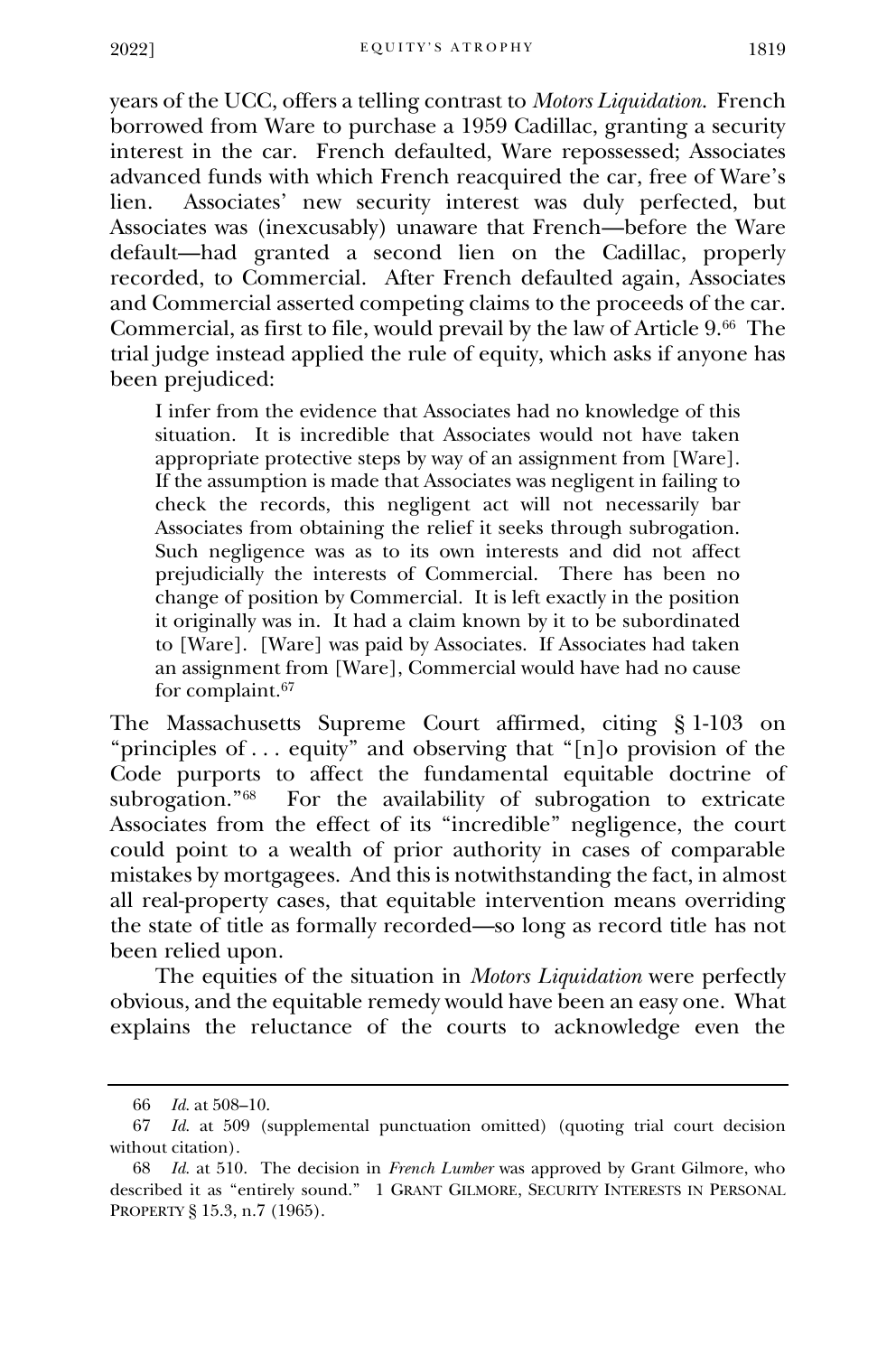years of the UCC, offers a telling contrast to *Motors Liquidation*. French borrowed from Ware to purchase a 1959 Cadillac, granting a security interest in the car. French defaulted, Ware repossessed; Associates advanced funds with which French reacquired the car, free of Ware's lien. Associates' new security interest was duly perfected, but Associates was (inexcusably) unaware that French—before the Ware default—had granted a second lien on the Cadillac, properly recorded, to Commercial. After French defaulted again, Associates and Commercial asserted competing claims to the proceeds of the car. Commercial, as first to file, would prevail by the law of Article 9.<sup>66</sup> The trial judge instead applied the rule of equity, which asks if anyone has been prejudiced:

I infer from the evidence that Associates had no knowledge of this situation. It is incredible that Associates would not have taken appropriate protective steps by way of an assignment from [Ware]. If the assumption is made that Associates was negligent in failing to check the records, this negligent act will not necessarily bar Associates from obtaining the relief it seeks through subrogation. Such negligence was as to its own interests and did not affect prejudicially the interests of Commercial. There has been no change of position by Commercial. It is left exactly in the position it originally was in. It had a claim known by it to be subordinated to [Ware]. [Ware] was paid by Associates. If Associates had taken an assignment from [Ware], Commercial would have had no cause for complaint.<sup>67</sup>

The Massachusetts Supreme Court affirmed, citing § 1-103 on "principles of . . . equity" and observing that "[n]o provision of the Code purports to affect the fundamental equitable doctrine of subrogation."<sup>68</sup> For the availability of subrogation to extricate Associates from the effect of its "incredible" negligence, the court could point to a wealth of prior authority in cases of comparable mistakes by mortgagees. And this is notwithstanding the fact, in almost all real-property cases, that equitable intervention means overriding the state of title as formally recorded—so long as record title has not been relied upon.

The equities of the situation in *Motors Liquidation* were perfectly obvious, and the equitable remedy would have been an easy one. What explains the reluctance of the courts to acknowledge even the

<sup>66</sup> *Id.* at 508–10.

<sup>67</sup> *Id.* at 509 (supplemental punctuation omitted) (quoting trial court decision without citation).

<sup>68</sup> *Id.* at 510. The decision in *French Lumber* was approved by Grant Gilmore, who described it as "entirely sound." 1 GRANT GILMORE, SECURITY INTERESTS IN PERSONAL PROPERTY § 15.3, n.7 (1965).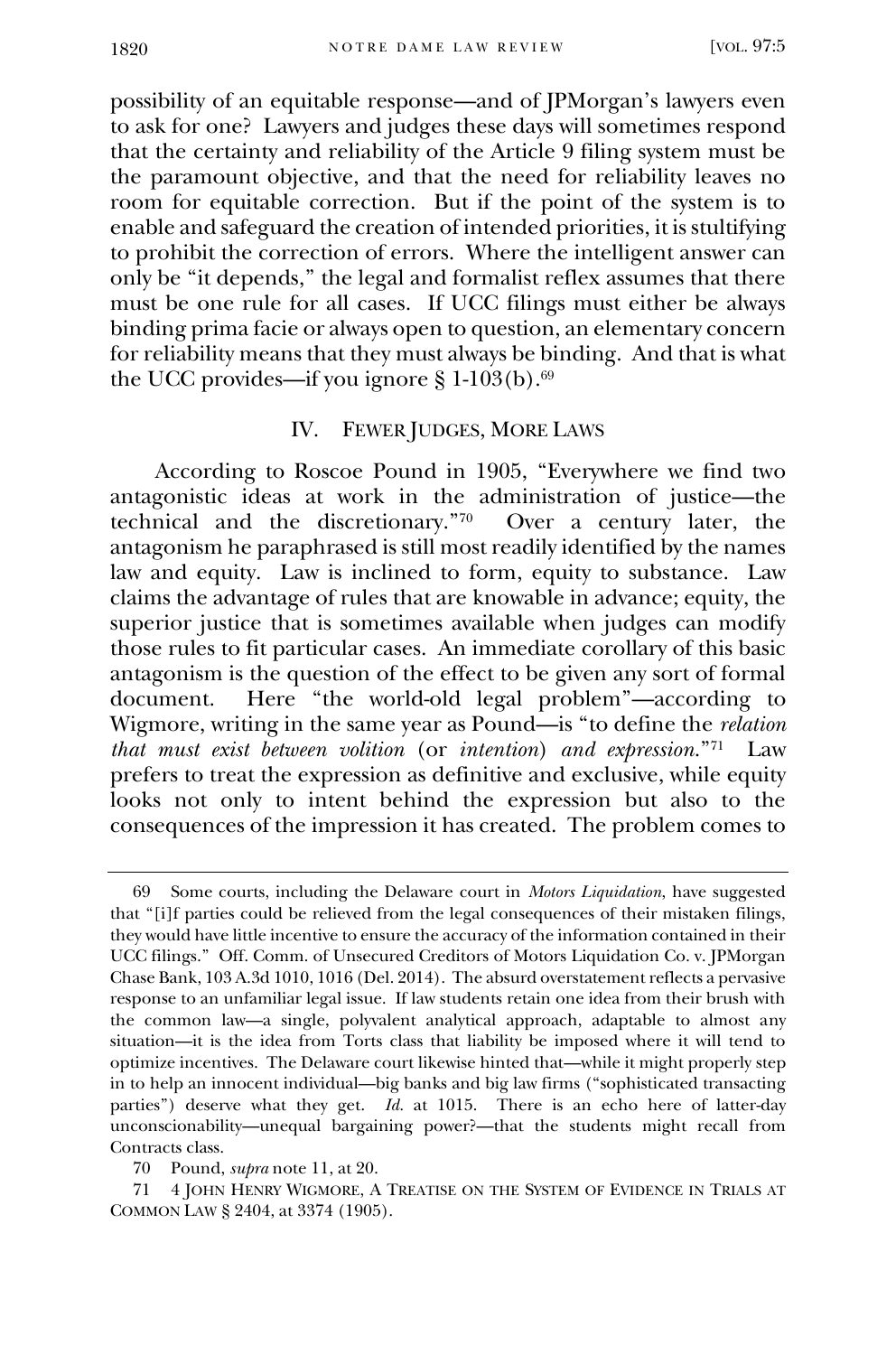possibility of an equitable response—and of JPMorgan's lawyers even to ask for one? Lawyers and judges these days will sometimes respond that the certainty and reliability of the Article 9 filing system must be the paramount objective, and that the need for reliability leaves no room for equitable correction. But if the point of the system is to enable and safeguard the creation of intended priorities, it is stultifying to prohibit the correction of errors. Where the intelligent answer can only be "it depends," the legal and formalist reflex assumes that there must be one rule for all cases. If UCC filings must either be always binding prima facie or always open to question, an elementary concern for reliability means that they must always be binding. And that is what the UCC provides—if you ignore  $\S 1\n-103(b)$ .<sup>69</sup>

## IV. FEWER JUDGES, MORE LAWS

According to Roscoe Pound in 1905, "Everywhere we find two antagonistic ideas at work in the administration of justice—the technical and the discretionary."<sup>70</sup> Over a century later, the antagonism he paraphrased is still most readily identified by the names law and equity. Law is inclined to form, equity to substance. Law claims the advantage of rules that are knowable in advance; equity, the superior justice that is sometimes available when judges can modify those rules to fit particular cases. An immediate corollary of this basic antagonism is the question of the effect to be given any sort of formal document. Here "the world-old legal problem"—according to Wigmore, writing in the same year as Pound—is "to define the *relation that must exist between volition* (or *intention*) *and expression*."<sup>71</sup> Law prefers to treat the expression as definitive and exclusive, while equity looks not only to intent behind the expression but also to the consequences of the impression it has created. The problem comes to

70 Pound, *supra* note 11, at 20.

71 4 JOHN HENRY WIGMORE, A TREATISE ON THE SYSTEM OF EVIDENCE IN TRIALS AT COMMON LAW § 2404, at 3374 (1905).

<sup>69</sup> Some courts, including the Delaware court in *Motors Liquidation*, have suggested that "[i]f parties could be relieved from the legal consequences of their mistaken filings, they would have little incentive to ensure the accuracy of the information contained in their UCC filings." Off. Comm. of Unsecured Creditors of Motors Liquidation Co. v. JPMorgan Chase Bank, 103 A.3d 1010, 1016 (Del. 2014). The absurd overstatement reflects a pervasive response to an unfamiliar legal issue. If law students retain one idea from their brush with the common law—a single, polyvalent analytical approach, adaptable to almost any situation—it is the idea from Torts class that liability be imposed where it will tend to optimize incentives. The Delaware court likewise hinted that—while it might properly step in to help an innocent individual—big banks and big law firms ("sophisticated transacting parties") deserve what they get. *Id.* at 1015. There is an echo here of latter-day unconscionability—unequal bargaining power?—that the students might recall from Contracts class.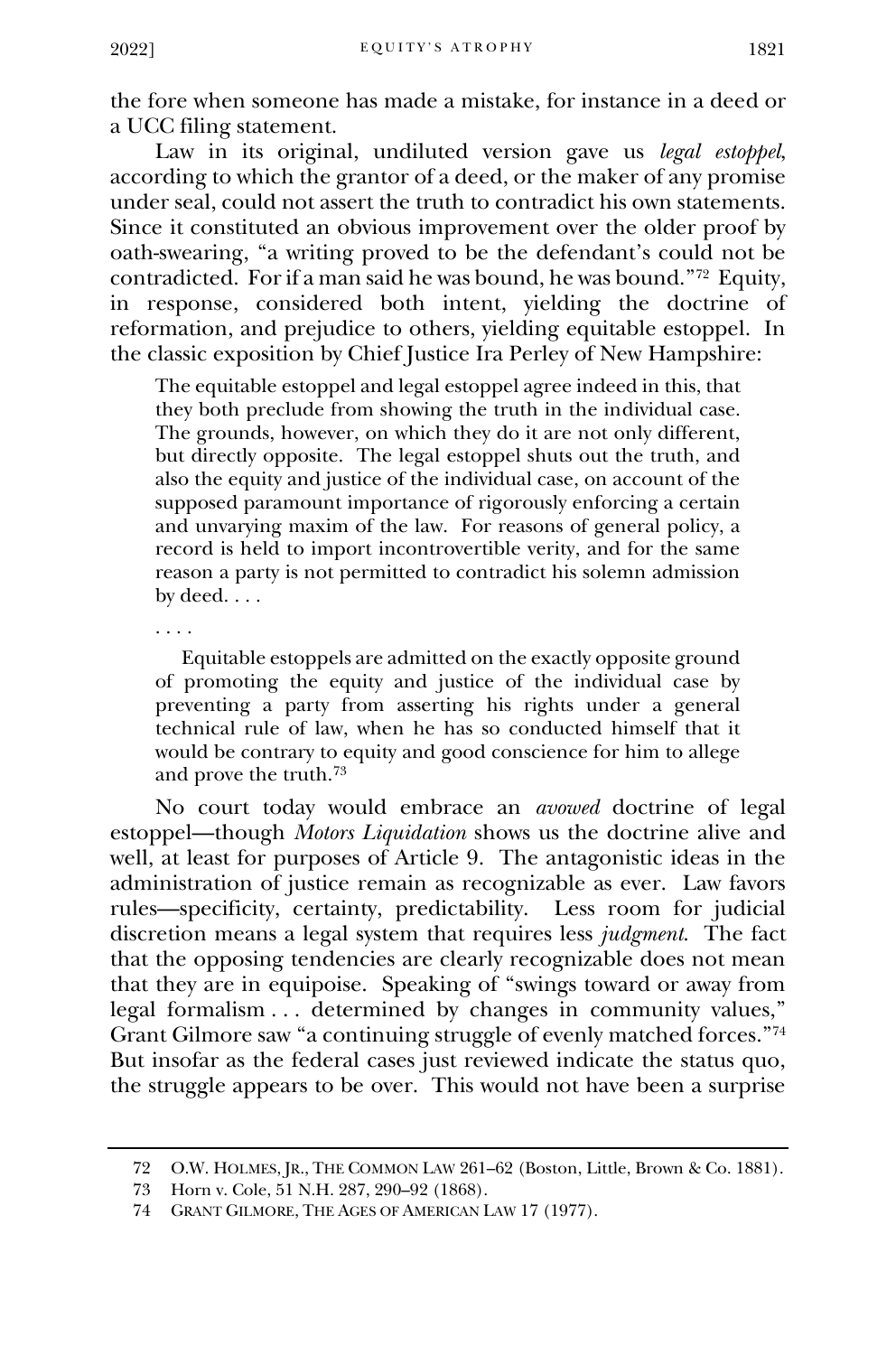the fore when someone has made a mistake, for instance in a deed or a UCC filing statement.

Law in its original, undiluted version gave us *legal estoppel*, according to which the grantor of a deed, or the maker of any promise under seal, could not assert the truth to contradict his own statements. Since it constituted an obvious improvement over the older proof by oath-swearing, "a writing proved to be the defendant's could not be contradicted. For if a man said he was bound, he was bound."<sup>72</sup> Equity, in response, considered both intent, yielding the doctrine of reformation, and prejudice to others, yielding equitable estoppel. In the classic exposition by Chief Justice Ira Perley of New Hampshire:

The equitable estoppel and legal estoppel agree indeed in this, that they both preclude from showing the truth in the individual case. The grounds, however, on which they do it are not only different, but directly opposite. The legal estoppel shuts out the truth, and also the equity and justice of the individual case, on account of the supposed paramount importance of rigorously enforcing a certain and unvarying maxim of the law. For reasons of general policy, a record is held to import incontrovertible verity, and for the same reason a party is not permitted to contradict his solemn admission by deed. . . .

. . . .

 Equitable estoppels are admitted on the exactly opposite ground of promoting the equity and justice of the individual case by preventing a party from asserting his rights under a general technical rule of law, when he has so conducted himself that it would be contrary to equity and good conscience for him to allege and prove the truth.<sup>73</sup>

No court today would embrace an *avowed* doctrine of legal estoppel—though *Motors Liquidation* shows us the doctrine alive and well, at least for purposes of Article 9. The antagonistic ideas in the administration of justice remain as recognizable as ever. Law favors rules—specificity, certainty, predictability. Less room for judicial discretion means a legal system that requires less *judgment*. The fact that the opposing tendencies are clearly recognizable does not mean that they are in equipoise. Speaking of "swings toward or away from legal formalism . . . determined by changes in community values," Grant Gilmore saw "a continuing struggle of evenly matched forces."<sup>74</sup> But insofar as the federal cases just reviewed indicate the status quo, the struggle appears to be over. This would not have been a surprise

<sup>72</sup> O.W. HOLMES, JR., THE COMMON LAW 261–62 (Boston, Little, Brown & Co. 1881).

<sup>73</sup> Horn v. Cole, 51 N.H. 287, 290–92 (1868).

<sup>74</sup> GRANT GILMORE, THE AGES OF AMERICAN LAW 17 (1977).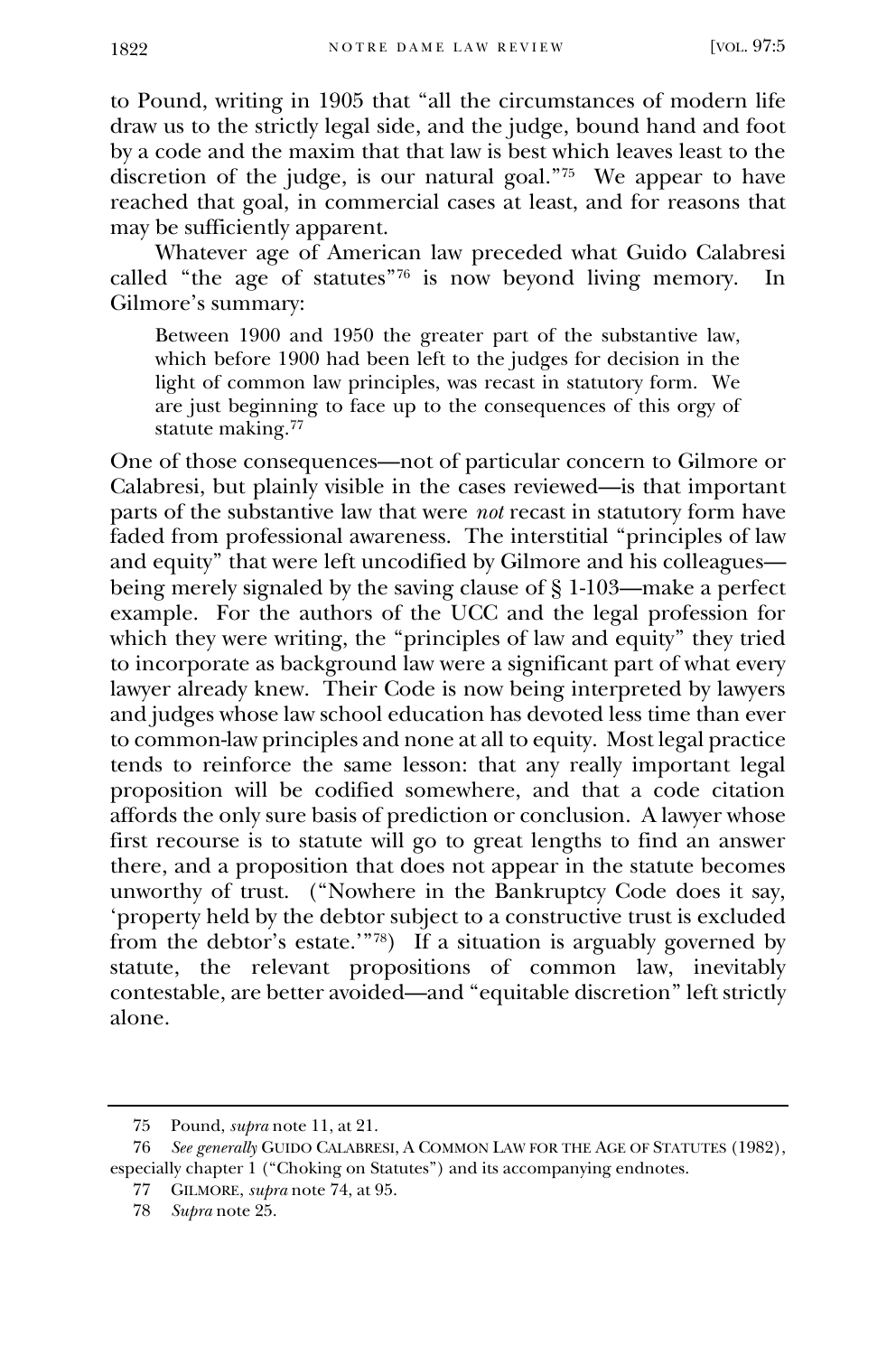to Pound, writing in 1905 that "all the circumstances of modern life draw us to the strictly legal side, and the judge, bound hand and foot by a code and the maxim that that law is best which leaves least to the discretion of the judge, is our natural goal."<sup>75</sup> We appear to have reached that goal, in commercial cases at least, and for reasons that may be sufficiently apparent.

Whatever age of American law preceded what Guido Calabresi called "the age of statutes"<sup>76</sup> is now beyond living memory. In Gilmore's summary:

Between 1900 and 1950 the greater part of the substantive law, which before 1900 had been left to the judges for decision in the light of common law principles, was recast in statutory form. We are just beginning to face up to the consequences of this orgy of statute making.<sup>77</sup>

One of those consequences—not of particular concern to Gilmore or Calabresi, but plainly visible in the cases reviewed—is that important parts of the substantive law that were *not* recast in statutory form have faded from professional awareness. The interstitial "principles of law and equity" that were left uncodified by Gilmore and his colleagues being merely signaled by the saving clause of § 1-103—make a perfect example. For the authors of the UCC and the legal profession for which they were writing, the "principles of law and equity" they tried to incorporate as background law were a significant part of what every lawyer already knew. Their Code is now being interpreted by lawyers and judges whose law school education has devoted less time than ever to common-law principles and none at all to equity. Most legal practice tends to reinforce the same lesson: that any really important legal proposition will be codified somewhere, and that a code citation affords the only sure basis of prediction or conclusion. A lawyer whose first recourse is to statute will go to great lengths to find an answer there, and a proposition that does not appear in the statute becomes unworthy of trust. ("Nowhere in the Bankruptcy Code does it say, 'property held by the debtor subject to a constructive trust is excluded from the debtor's estate.'"78) If a situation is arguably governed by statute, the relevant propositions of common law, inevitably contestable, are better avoided—and "equitable discretion" left strictly alone.

<sup>75</sup> Pound, *supra* note 11, at 21.

<sup>76</sup> *See generally* GUIDO CALABRESI, A COMMON LAW FOR THE AGE OF STATUTES (1982), especially chapter 1 ("Choking on Statutes") and its accompanying endnotes.

<sup>77</sup> GILMORE, *supra* note 74, at 95.

<sup>78</sup> *Supra* note 25.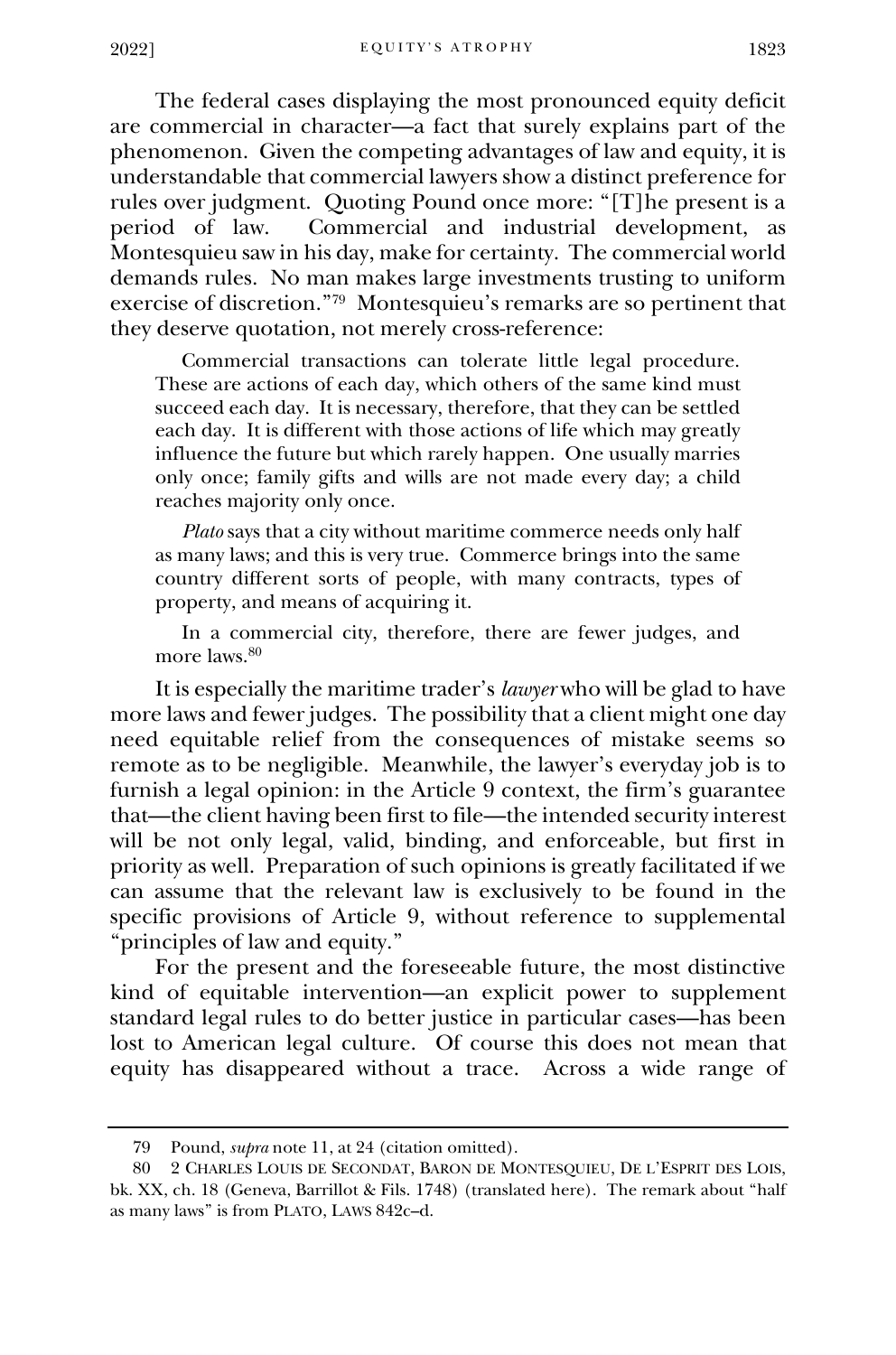The federal cases displaying the most pronounced equity deficit are commercial in character—a fact that surely explains part of the phenomenon. Given the competing advantages of law and equity, it is understandable that commercial lawyers show a distinct preference for rules over judgment. Quoting Pound once more: "[T]he present is a period of law. Commercial and industrial development, as Montesquieu saw in his day, make for certainty. The commercial world demands rules. No man makes large investments trusting to uniform exercise of discretion."<sup>79</sup> Montesquieu's remarks are so pertinent that they deserve quotation, not merely cross-reference:

 Commercial transactions can tolerate little legal procedure. These are actions of each day, which others of the same kind must succeed each day. It is necessary, therefore, that they can be settled each day. It is different with those actions of life which may greatly influence the future but which rarely happen. One usually marries only once; family gifts and wills are not made every day; a child reaches majority only once.

 *Plato* says that a city without maritime commerce needs only half as many laws; and this is very true. Commerce brings into the same country different sorts of people, with many contracts, types of property, and means of acquiring it.

 In a commercial city, therefore, there are fewer judges, and more laws.<sup>80</sup>

It is especially the maritime trader's *lawyer* who will be glad to have more laws and fewer judges. The possibility that a client might one day need equitable relief from the consequences of mistake seems so remote as to be negligible. Meanwhile, the lawyer's everyday job is to furnish a legal opinion: in the Article 9 context, the firm's guarantee that—the client having been first to file—the intended security interest will be not only legal, valid, binding, and enforceable, but first in priority as well. Preparation of such opinions is greatly facilitated if we can assume that the relevant law is exclusively to be found in the specific provisions of Article 9, without reference to supplemental "principles of law and equity."

For the present and the foreseeable future, the most distinctive kind of equitable intervention—an explicit power to supplement standard legal rules to do better justice in particular cases—has been lost to American legal culture. Of course this does not mean that equity has disappeared without a trace. Across a wide range of

<sup>79</sup> Pound, *supra* note 11, at 24 (citation omitted).

<sup>80</sup> 2 CHARLES LOUIS DE SECONDAT, BARON DE MONTESQUIEU, DE L'ESPRIT DES LOIS, bk. XX, ch. 18 (Geneva, Barrillot & Fils. 1748) (translated here). The remark about "half as many laws" is from PLATO, LAWS 842c–d.